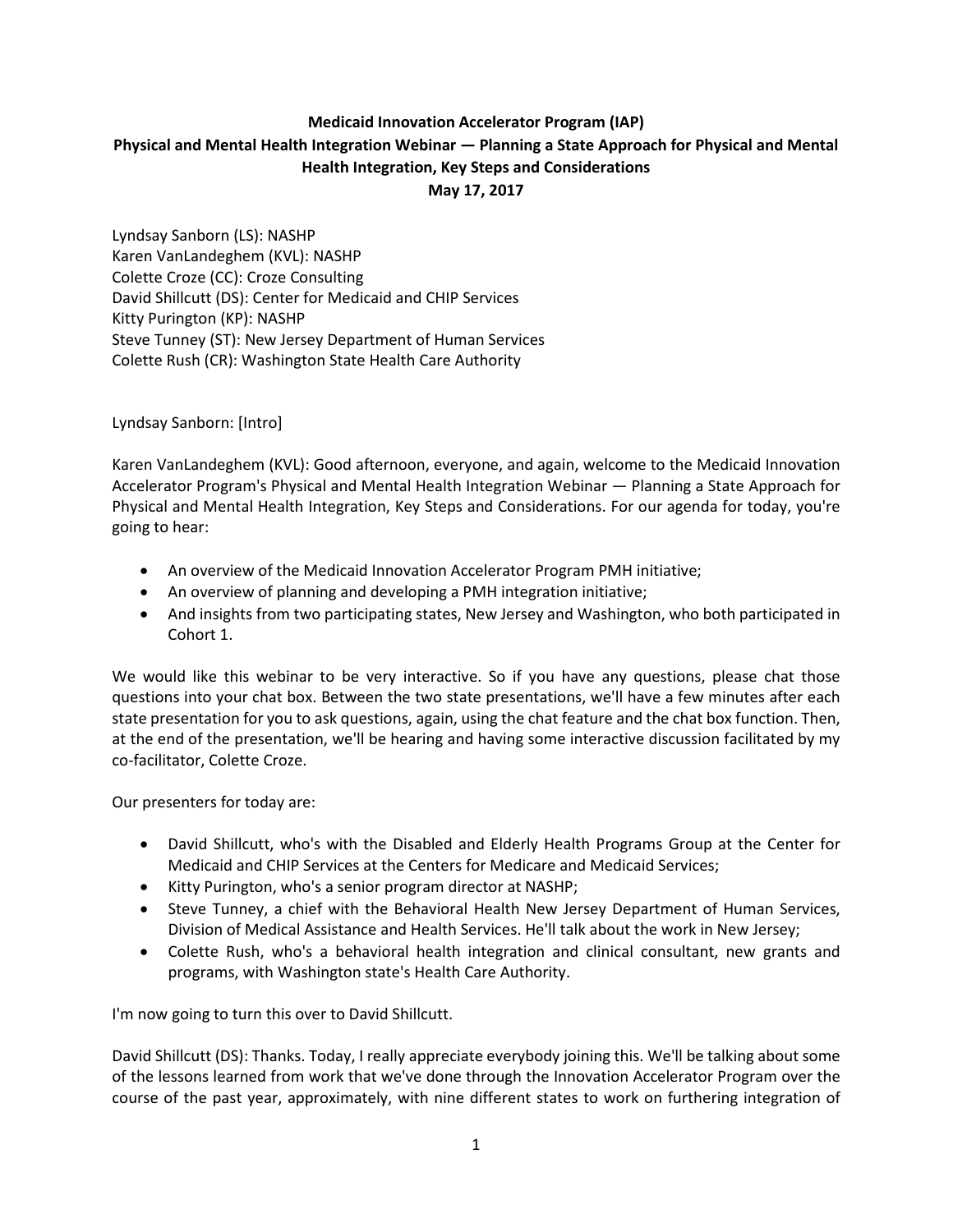# **Medicaid Innovation Accelerator Program (IAP) Physical and Mental Health Integration Webinar — Planning a State Approach for Physical and Mental Health Integration, Key Steps and Considerations May 17, 2017**

Lyndsay Sanborn (LS): NASHP Karen VanLandeghem (KVL): NASHP Colette Croze (CC): Croze Consulting David Shillcutt (DS): Center for Medicaid and CHIP Services Kitty Purington (KP): NASHP Steve Tunney (ST): New Jersey Department of Human Services Colette Rush (CR): Washington State Health Care Authority

Lyndsay Sanborn: [Intro]

Karen VanLandeghem (KVL): Good afternoon, everyone, and again, welcome to the Medicaid Innovation Accelerator Program's Physical and Mental Health Integration Webinar — Planning a State Approach for Physical and Mental Health Integration, Key Steps and Considerations. For our agenda for today, you're going to hear:

- An overview of the Medicaid Innovation Accelerator Program PMH initiative;
- An overview of planning and developing a PMH integration initiative;
- And insights from two participating states, New Jersey and Washington, who both participated in Cohort 1.

We would like this webinar to be very interactive. So if you have any questions, please chat those questions into your chat box. Between the two state presentations, we'll have a few minutes after each state presentation for you to ask questions, again, using the chat feature and the chat box function. Then, at the end of the presentation, we'll be hearing and having some interactive discussion facilitated by my co-facilitator, Colette Croze.

Our presenters for today are:

- David Shillcutt, who's with the Disabled and Elderly Health Programs Group at the Center for Medicaid and CHIP Services at the Centers for Medicare and Medicaid Services;
- Kitty Purington, who's a senior program director at NASHP;
- Steve Tunney, a chief with the Behavioral Health New Jersey Department of Human Services, Division of Medical Assistance and Health Services. He'll talk about the work in New Jersey;
- Colette Rush, who's a behavioral health integration and clinical consultant, new grants and programs, with Washington state's Health Care Authority.

I'm now going to turn this over to David Shillcutt.

David Shillcutt (DS): Thanks. Today, I really appreciate everybody joining this. We'll be talking about some of the lessons learned from work that we've done through the Innovation Accelerator Program over the course of the past year, approximately, with nine different states to work on furthering integration of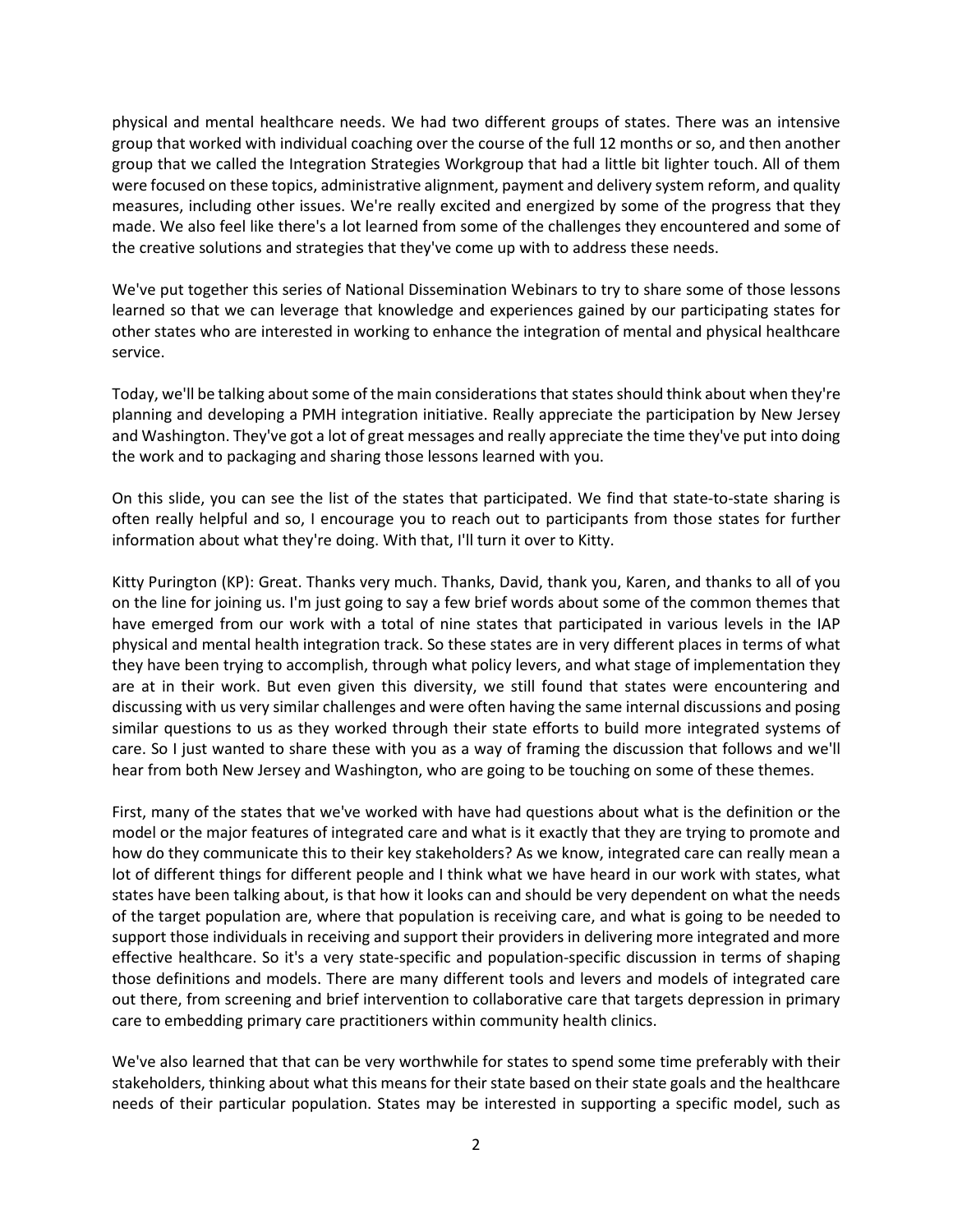physical and mental healthcare needs. We had two different groups of states. There was an intensive group that worked with individual coaching over the course of the full 12 months or so, and then another group that we called the Integration Strategies Workgroup that had a little bit lighter touch. All of them were focused on these topics, administrative alignment, payment and delivery system reform, and quality measures, including other issues. We're really excited and energized by some of the progress that they made. We also feel like there's a lot learned from some of the challenges they encountered and some of the creative solutions and strategies that they've come up with to address these needs.

We've put together this series of National Dissemination Webinars to try to share some of those lessons learned so that we can leverage that knowledge and experiences gained by our participating states for other states who are interested in working to enhance the integration of mental and physical healthcare service.

Today, we'll be talking about some of the main considerations that states should think about when they're planning and developing a PMH integration initiative. Really appreciate the participation by New Jersey and Washington. They've got a lot of great messages and really appreciate the time they've put into doing the work and to packaging and sharing those lessons learned with you.

On this slide, you can see the list of the states that participated. We find that state-to-state sharing is often really helpful and so, I encourage you to reach out to participants from those states for further information about what they're doing. With that, I'll turn it over to Kitty.

Kitty Purington (KP): Great. Thanks very much. Thanks, David, thank you, Karen, and thanks to all of you on the line for joining us. I'm just going to say a few brief words about some of the common themes that have emerged from our work with a total of nine states that participated in various levels in the IAP physical and mental health integration track. So these states are in very different places in terms of what they have been trying to accomplish, through what policy levers, and what stage of implementation they are at in their work. But even given this diversity, we still found that states were encountering and discussing with us very similar challenges and were often having the same internal discussions and posing similar questions to us as they worked through their state efforts to build more integrated systems of care. So I just wanted to share these with you as a way of framing the discussion that follows and we'll hear from both New Jersey and Washington, who are going to be touching on some of these themes.

First, many of the states that we've worked with have had questions about what is the definition or the model or the major features of integrated care and what is it exactly that they are trying to promote and how do they communicate this to their key stakeholders? As we know, integrated care can really mean a lot of different things for different people and I think what we have heard in our work with states, what states have been talking about, is that how it looks can and should be very dependent on what the needs of the target population are, where that population is receiving care, and what is going to be needed to support those individuals in receiving and support their providers in delivering more integrated and more effective healthcare. So it's a very state-specific and population-specific discussion in terms of shaping those definitions and models. There are many different tools and levers and models of integrated care out there, from screening and brief intervention to collaborative care that targets depression in primary care to embedding primary care practitioners within community health clinics.

We've also learned that that can be very worthwhile for states to spend some time preferably with their stakeholders, thinking about what this means for their state based on their state goals and the healthcare needs of their particular population. States may be interested in supporting a specific model, such as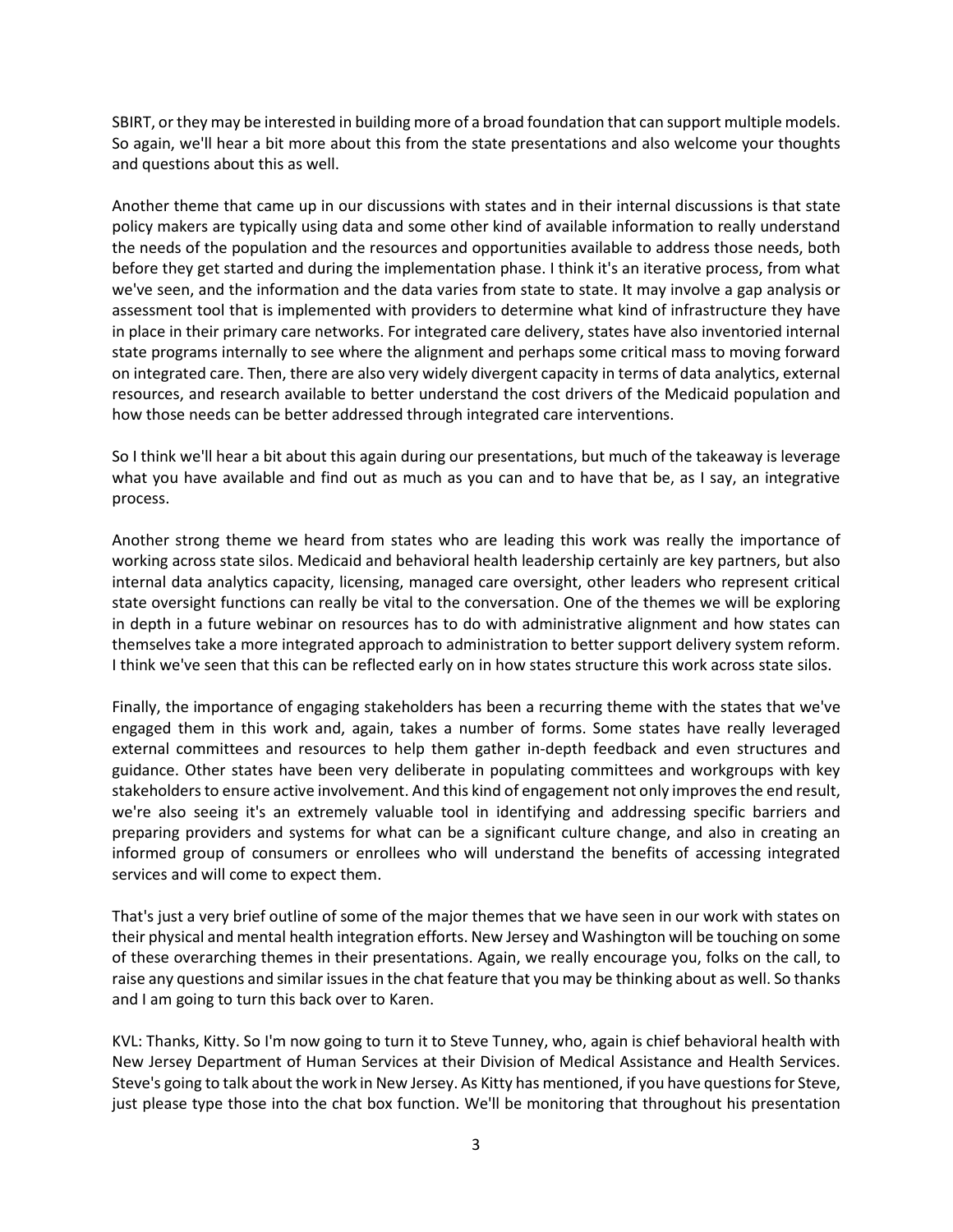SBIRT, or they may be interested in building more of a broad foundation that can support multiple models. So again, we'll hear a bit more about this from the state presentations and also welcome your thoughts and questions about this as well.

Another theme that came up in our discussions with states and in their internal discussions is that state policy makers are typically using data and some other kind of available information to really understand the needs of the population and the resources and opportunities available to address those needs, both before they get started and during the implementation phase. I think it's an iterative process, from what we've seen, and the information and the data varies from state to state. It may involve a gap analysis or assessment tool that is implemented with providers to determine what kind of infrastructure they have in place in their primary care networks. For integrated care delivery, states have also inventoried internal state programs internally to see where the alignment and perhaps some critical mass to moving forward on integrated care. Then, there are also very widely divergent capacity in terms of data analytics, external resources, and research available to better understand the cost drivers of the Medicaid population and how those needs can be better addressed through integrated care interventions.

So I think we'll hear a bit about this again during our presentations, but much of the takeaway is leverage what you have available and find out as much as you can and to have that be, as I say, an integrative process.

Another strong theme we heard from states who are leading this work was really the importance of working across state silos. Medicaid and behavioral health leadership certainly are key partners, but also internal data analytics capacity, licensing, managed care oversight, other leaders who represent critical state oversight functions can really be vital to the conversation. One of the themes we will be exploring in depth in a future webinar on resources has to do with administrative alignment and how states can themselves take a more integrated approach to administration to better support delivery system reform. I think we've seen that this can be reflected early on in how states structure this work across state silos.

Finally, the importance of engaging stakeholders has been a recurring theme with the states that we've engaged them in this work and, again, takes a number of forms. Some states have really leveraged external committees and resources to help them gather in-depth feedback and even structures and guidance. Other states have been very deliberate in populating committees and workgroups with key stakeholders to ensure active involvement. And this kind of engagement not only improves the end result, we're also seeing it's an extremely valuable tool in identifying and addressing specific barriers and preparing providers and systems for what can be a significant culture change, and also in creating an informed group of consumers or enrollees who will understand the benefits of accessing integrated services and will come to expect them.

That's just a very brief outline of some of the major themes that we have seen in our work with states on their physical and mental health integration efforts. New Jersey and Washington will be touching on some of these overarching themes in their presentations. Again, we really encourage you, folks on the call, to raise any questions and similar issues in the chat feature that you may be thinking about as well. So thanks and I am going to turn this back over to Karen.

KVL: Thanks, Kitty. So I'm now going to turn it to Steve Tunney, who, again is chief behavioral health with New Jersey Department of Human Services at their Division of Medical Assistance and Health Services. Steve's going to talk about the work in New Jersey. As Kitty has mentioned, if you have questions for Steve, just please type those into the chat box function. We'll be monitoring that throughout his presentation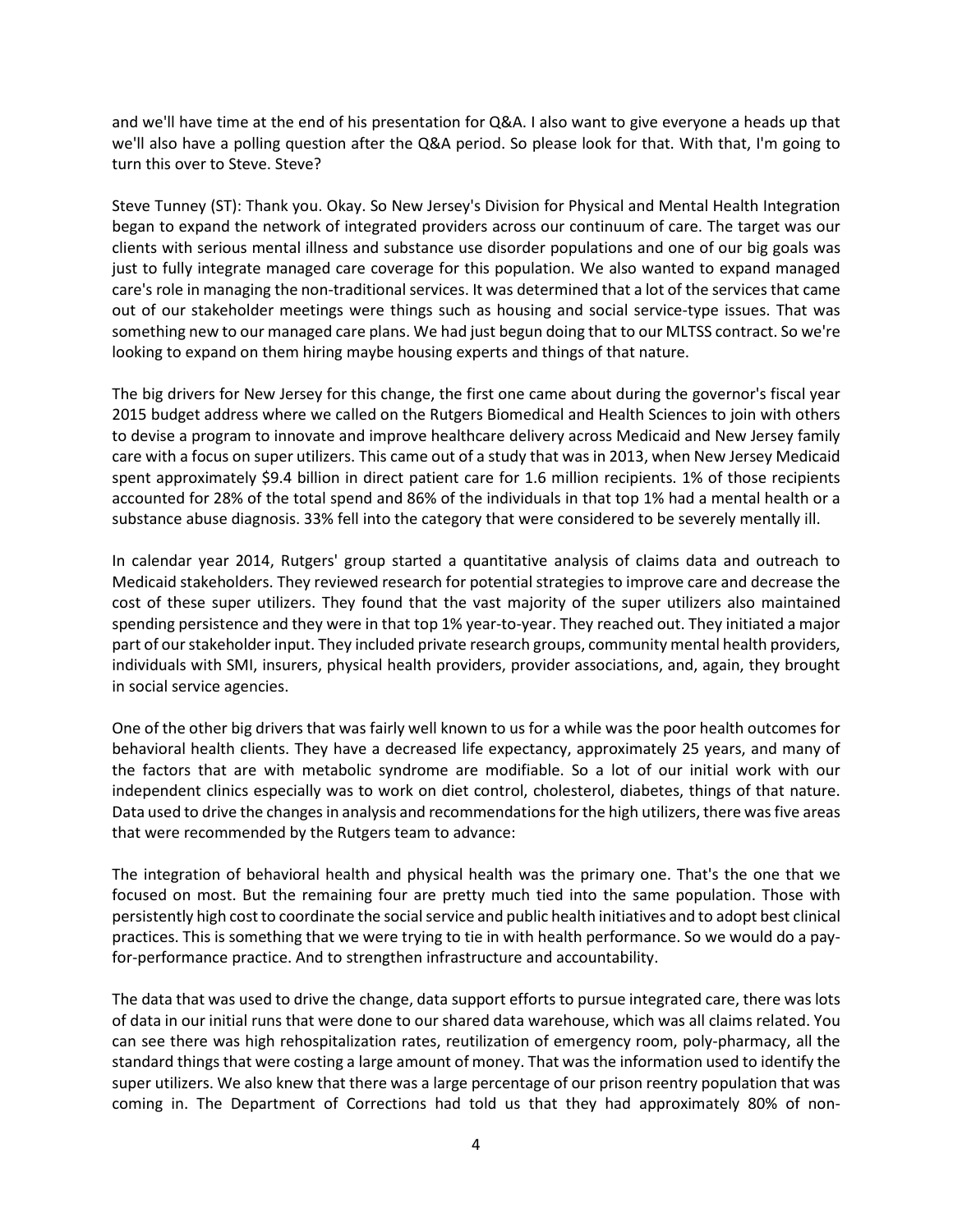and we'll have time at the end of his presentation for Q&A. I also want to give everyone a heads up that we'll also have a polling question after the Q&A period. So please look for that. With that, I'm going to turn this over to Steve. Steve?

Steve Tunney (ST): Thank you. Okay. So New Jersey's Division for Physical and Mental Health Integration began to expand the network of integrated providers across our continuum of care. The target was our clients with serious mental illness and substance use disorder populations and one of our big goals was just to fully integrate managed care coverage for this population. We also wanted to expand managed care's role in managing the non-traditional services. It was determined that a lot of the services that came out of our stakeholder meetings were things such as housing and social service-type issues. That was something new to our managed care plans. We had just begun doing that to our MLTSS contract. So we're looking to expand on them hiring maybe housing experts and things of that nature.

The big drivers for New Jersey for this change, the first one came about during the governor's fiscal year 2015 budget address where we called on the Rutgers Biomedical and Health Sciences to join with others to devise a program to innovate and improve healthcare delivery across Medicaid and New Jersey family care with a focus on super utilizers. This came out of a study that was in 2013, when New Jersey Medicaid spent approximately \$9.4 billion in direct patient care for 1.6 million recipients. 1% of those recipients accounted for 28% of the total spend and 86% of the individuals in that top 1% had a mental health or a substance abuse diagnosis. 33% fell into the category that were considered to be severely mentally ill.

In calendar year 2014, Rutgers' group started a quantitative analysis of claims data and outreach to Medicaid stakeholders. They reviewed research for potential strategies to improve care and decrease the cost of these super utilizers. They found that the vast majority of the super utilizers also maintained spending persistence and they were in that top 1% year-to-year. They reached out. They initiated a major part of our stakeholder input. They included private research groups, community mental health providers, individuals with SMI, insurers, physical health providers, provider associations, and, again, they brought in social service agencies.

One of the other big drivers that was fairly well known to us for a while was the poor health outcomes for behavioral health clients. They have a decreased life expectancy, approximately 25 years, and many of the factors that are with metabolic syndrome are modifiable. So a lot of our initial work with our independent clinics especially was to work on diet control, cholesterol, diabetes, things of that nature. Data used to drive the changes in analysis and recommendations forthe high utilizers, there was five areas that were recommended by the Rutgers team to advance:

The integration of behavioral health and physical health was the primary one. That's the one that we focused on most. But the remaining four are pretty much tied into the same population. Those with persistently high cost to coordinate the social service and public health initiatives and to adopt best clinical practices. This is something that we were trying to tie in with health performance. So we would do a payfor-performance practice. And to strengthen infrastructure and accountability.

The data that was used to drive the change, data support efforts to pursue integrated care, there was lots of data in our initial runs that were done to our shared data warehouse, which was all claims related. You can see there was high rehospitalization rates, reutilization of emergency room, poly-pharmacy, all the standard things that were costing a large amount of money. That was the information used to identify the super utilizers. We also knew that there was a large percentage of our prison reentry population that was coming in. The Department of Corrections had told us that they had approximately 80% of non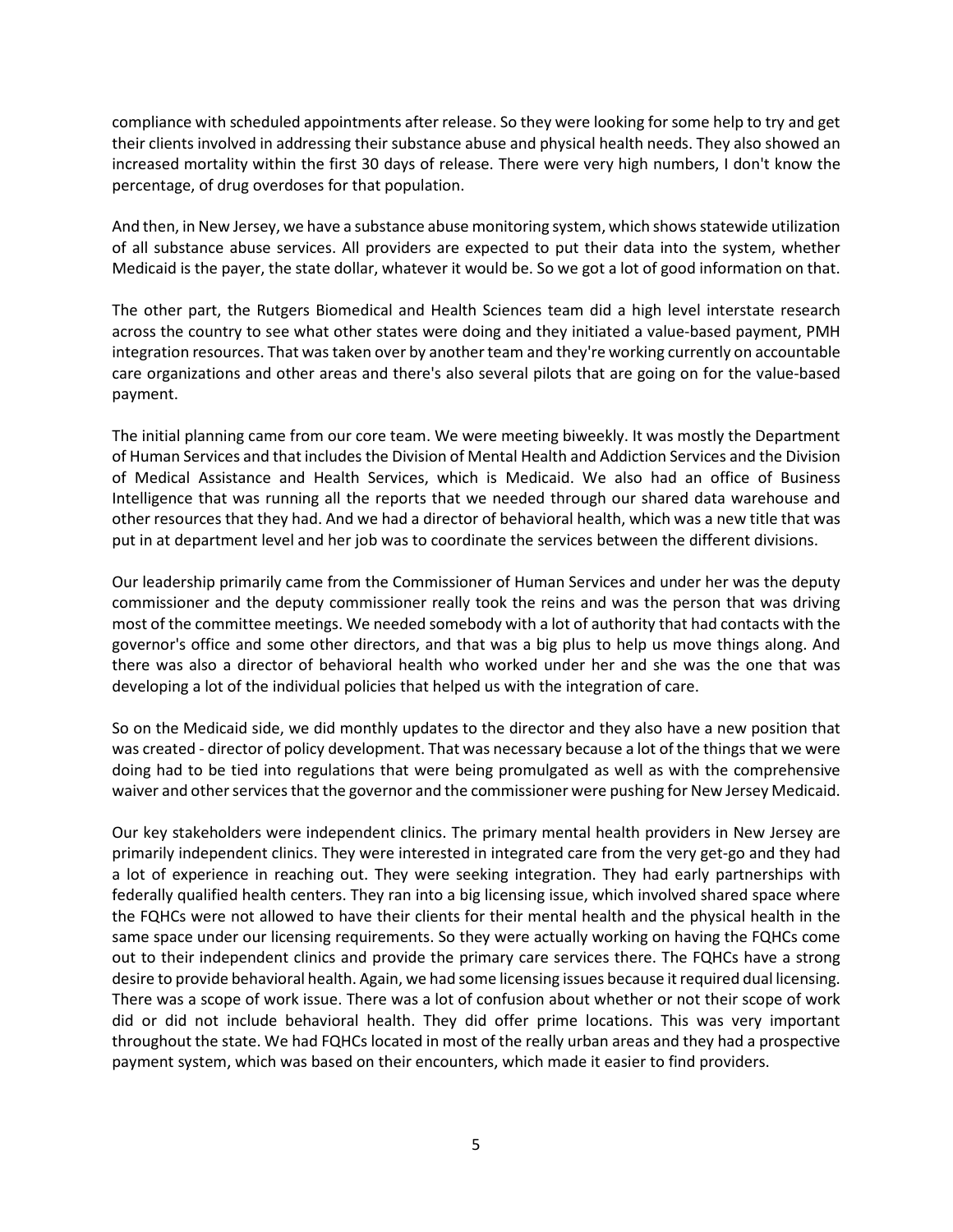compliance with scheduled appointments after release. So they were looking for some help to try and get their clients involved in addressing their substance abuse and physical health needs. They also showed an increased mortality within the first 30 days of release. There were very high numbers, I don't know the percentage, of drug overdoses for that population.

And then, in New Jersey, we have a substance abuse monitoring system, which shows statewide utilization of all substance abuse services. All providers are expected to put their data into the system, whether Medicaid is the payer, the state dollar, whatever it would be. So we got a lot of good information on that.

The other part, the Rutgers Biomedical and Health Sciences team did a high level interstate research across the country to see what other states were doing and they initiated a value-based payment, PMH integration resources. That was taken over by another team and they're working currently on accountable care organizations and other areas and there's also several pilots that are going on for the value-based payment.

The initial planning came from our core team. We were meeting biweekly. It was mostly the Department of Human Services and that includes the Division of Mental Health and Addiction Services and the Division of Medical Assistance and Health Services, which is Medicaid. We also had an office of Business Intelligence that was running all the reports that we needed through our shared data warehouse and other resources that they had. And we had a director of behavioral health, which was a new title that was put in at department level and her job was to coordinate the services between the different divisions.

Our leadership primarily came from the Commissioner of Human Services and under her was the deputy commissioner and the deputy commissioner really took the reins and was the person that was driving most of the committee meetings. We needed somebody with a lot of authority that had contacts with the governor's office and some other directors, and that was a big plus to help us move things along. And there was also a director of behavioral health who worked under her and she was the one that was developing a lot of the individual policies that helped us with the integration of care.

So on the Medicaid side, we did monthly updates to the director and they also have a new position that was created - director of policy development. That was necessary because a lot of the things that we were doing had to be tied into regulations that were being promulgated as well as with the comprehensive waiver and other services that the governor and the commissioner were pushing for New Jersey Medicaid.

Our key stakeholders were independent clinics. The primary mental health providers in New Jersey are primarily independent clinics. They were interested in integrated care from the very get-go and they had a lot of experience in reaching out. They were seeking integration. They had early partnerships with federally qualified health centers. They ran into a big licensing issue, which involved shared space where the FQHCs were not allowed to have their clients for their mental health and the physical health in the same space under our licensing requirements. So they were actually working on having the FQHCs come out to their independent clinics and provide the primary care services there. The FQHCs have a strong desire to provide behavioral health. Again, we had some licensing issues because it required dual licensing. There was a scope of work issue. There was a lot of confusion about whether or not their scope of work did or did not include behavioral health. They did offer prime locations. This was very important throughout the state. We had FQHCs located in most of the really urban areas and they had a prospective payment system, which was based on their encounters, which made it easier to find providers.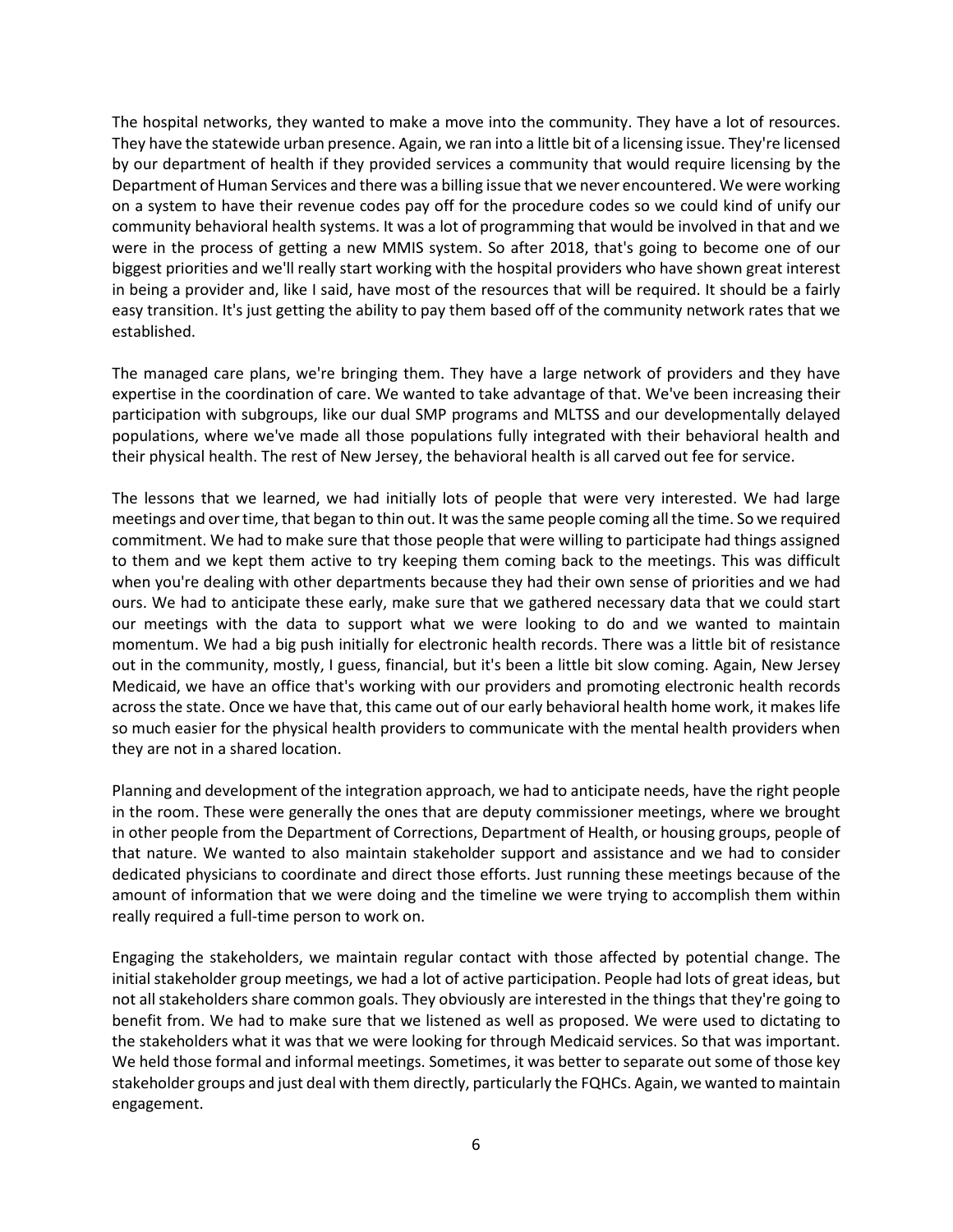The hospital networks, they wanted to make a move into the community. They have a lot of resources. They have the statewide urban presence. Again, we ran into a little bit of a licensing issue. They're licensed by our department of health if they provided services a community that would require licensing by the Department of Human Services and there was a billing issue that we never encountered. We were working on a system to have their revenue codes pay off for the procedure codes so we could kind of unify our community behavioral health systems. It was a lot of programming that would be involved in that and we were in the process of getting a new MMIS system. So after 2018, that's going to become one of our biggest priorities and we'll really start working with the hospital providers who have shown great interest in being a provider and, like I said, have most of the resources that will be required. It should be a fairly easy transition. It's just getting the ability to pay them based off of the community network rates that we established.

The managed care plans, we're bringing them. They have a large network of providers and they have expertise in the coordination of care. We wanted to take advantage of that. We've been increasing their participation with subgroups, like our dual SMP programs and MLTSS and our developmentally delayed populations, where we've made all those populations fully integrated with their behavioral health and their physical health. The rest of New Jersey, the behavioral health is all carved out fee for service.

The lessons that we learned, we had initially lots of people that were very interested. We had large meetings and over time, that began to thin out. It was the same people coming all the time. So we required commitment. We had to make sure that those people that were willing to participate had things assigned to them and we kept them active to try keeping them coming back to the meetings. This was difficult when you're dealing with other departments because they had their own sense of priorities and we had ours. We had to anticipate these early, make sure that we gathered necessary data that we could start our meetings with the data to support what we were looking to do and we wanted to maintain momentum. We had a big push initially for electronic health records. There was a little bit of resistance out in the community, mostly, I guess, financial, but it's been a little bit slow coming. Again, New Jersey Medicaid, we have an office that's working with our providers and promoting electronic health records across the state. Once we have that, this came out of our early behavioral health home work, it makes life so much easier for the physical health providers to communicate with the mental health providers when they are not in a shared location.

Planning and development of the integration approach, we had to anticipate needs, have the right people in the room. These were generally the ones that are deputy commissioner meetings, where we brought in other people from the Department of Corrections, Department of Health, or housing groups, people of that nature. We wanted to also maintain stakeholder support and assistance and we had to consider dedicated physicians to coordinate and direct those efforts. Just running these meetings because of the amount of information that we were doing and the timeline we were trying to accomplish them within really required a full-time person to work on.

Engaging the stakeholders, we maintain regular contact with those affected by potential change. The initial stakeholder group meetings, we had a lot of active participation. People had lots of great ideas, but not all stakeholders share common goals. They obviously are interested in the things that they're going to benefit from. We had to make sure that we listened as well as proposed. We were used to dictating to the stakeholders what it was that we were looking for through Medicaid services. So that was important. We held those formal and informal meetings. Sometimes, it was better to separate out some of those key stakeholder groups and just deal with them directly, particularly the FQHCs. Again, we wanted to maintain engagement.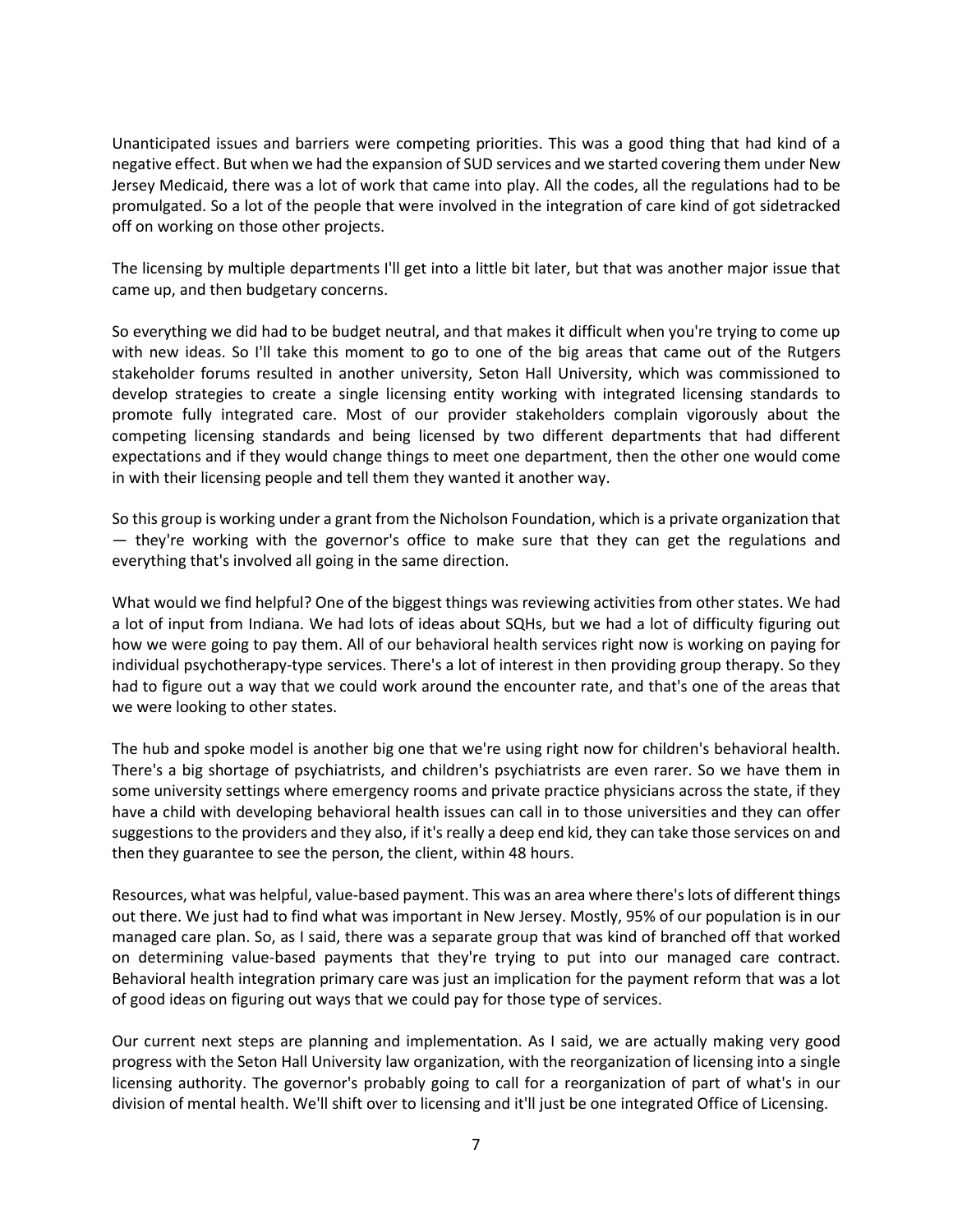Unanticipated issues and barriers were competing priorities. This was a good thing that had kind of a negative effect. But when we had the expansion of SUD services and we started covering them under New Jersey Medicaid, there was a lot of work that came into play. All the codes, all the regulations had to be promulgated. So a lot of the people that were involved in the integration of care kind of got sidetracked off on working on those other projects.

The licensing by multiple departments I'll get into a little bit later, but that was another major issue that came up, and then budgetary concerns.

So everything we did had to be budget neutral, and that makes it difficult when you're trying to come up with new ideas. So I'll take this moment to go to one of the big areas that came out of the Rutgers stakeholder forums resulted in another university, Seton Hall University, which was commissioned to develop strategies to create a single licensing entity working with integrated licensing standards to promote fully integrated care. Most of our provider stakeholders complain vigorously about the competing licensing standards and being licensed by two different departments that had different expectations and if they would change things to meet one department, then the other one would come in with their licensing people and tell them they wanted it another way.

So this group is working under a grant from the Nicholson Foundation, which is a private organization that — they're working with the governor's office to make sure that they can get the regulations and everything that's involved all going in the same direction.

What would we find helpful? One of the biggest things was reviewing activities from other states. We had a lot of input from Indiana. We had lots of ideas about SQHs, but we had a lot of difficulty figuring out how we were going to pay them. All of our behavioral health services right now is working on paying for individual psychotherapy-type services. There's a lot of interest in then providing group therapy. So they had to figure out a way that we could work around the encounter rate, and that's one of the areas that we were looking to other states.

The hub and spoke model is another big one that we're using right now for children's behavioral health. There's a big shortage of psychiatrists, and children's psychiatrists are even rarer. So we have them in some university settings where emergency rooms and private practice physicians across the state, if they have a child with developing behavioral health issues can call in to those universities and they can offer suggestions to the providers and they also, if it's really a deep end kid, they can take those services on and then they guarantee to see the person, the client, within 48 hours.

Resources, what was helpful, value-based payment. This was an area where there's lots of different things out there. We just had to find what was important in New Jersey. Mostly, 95% of our population is in our managed care plan. So, as I said, there was a separate group that was kind of branched off that worked on determining value-based payments that they're trying to put into our managed care contract. Behavioral health integration primary care was just an implication for the payment reform that was a lot of good ideas on figuring out ways that we could pay for those type of services.

Our current next steps are planning and implementation. As I said, we are actually making very good progress with the Seton Hall University law organization, with the reorganization of licensing into a single licensing authority. The governor's probably going to call for a reorganization of part of what's in our division of mental health. We'll shift over to licensing and it'll just be one integrated Office of Licensing.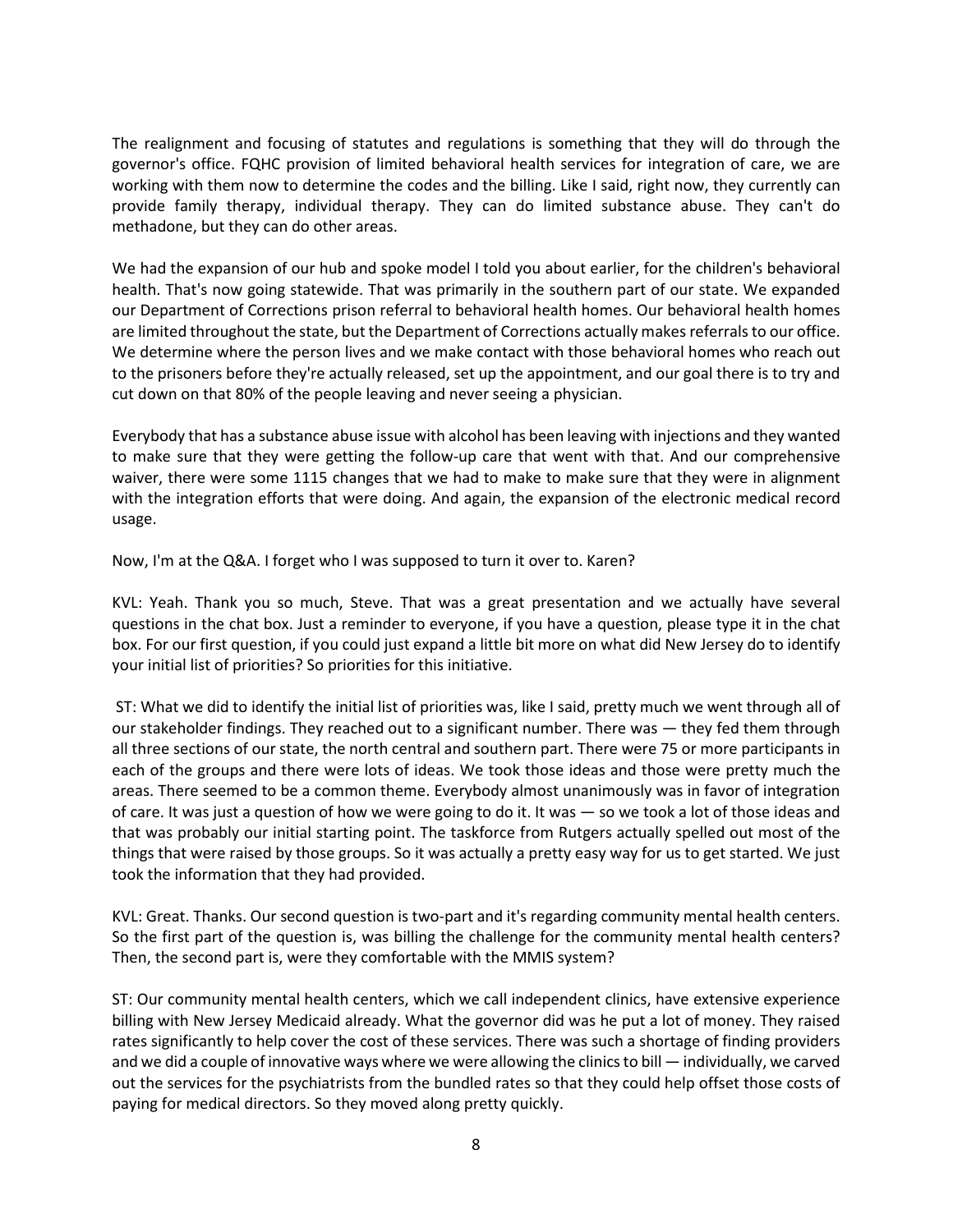The realignment and focusing of statutes and regulations is something that they will do through the governor's office. FQHC provision of limited behavioral health services for integration of care, we are working with them now to determine the codes and the billing. Like I said, right now, they currently can provide family therapy, individual therapy. They can do limited substance abuse. They can't do methadone, but they can do other areas.

We had the expansion of our hub and spoke model I told you about earlier, for the children's behavioral health. That's now going statewide. That was primarily in the southern part of our state. We expanded our Department of Corrections prison referral to behavioral health homes. Our behavioral health homes are limited throughout the state, but the Department of Corrections actually makes referrals to our office. We determine where the person lives and we make contact with those behavioral homes who reach out to the prisoners before they're actually released, set up the appointment, and our goal there is to try and cut down on that 80% of the people leaving and never seeing a physician.

Everybody that has a substance abuse issue with alcohol has been leaving with injections and they wanted to make sure that they were getting the follow-up care that went with that. And our comprehensive waiver, there were some 1115 changes that we had to make to make sure that they were in alignment with the integration efforts that were doing. And again, the expansion of the electronic medical record usage.

Now, I'm at the Q&A. I forget who I was supposed to turn it over to. Karen?

KVL: Yeah. Thank you so much, Steve. That was a great presentation and we actually have several questions in the chat box. Just a reminder to everyone, if you have a question, please type it in the chat box. For our first question, if you could just expand a little bit more on what did New Jersey do to identify your initial list of priorities? So priorities for this initiative.

ST: What we did to identify the initial list of priorities was, like I said, pretty much we went through all of our stakeholder findings. They reached out to a significant number. There was — they fed them through all three sections of our state, the north central and southern part. There were 75 or more participants in each of the groups and there were lots of ideas. We took those ideas and those were pretty much the areas. There seemed to be a common theme. Everybody almost unanimously was in favor of integration of care. It was just a question of how we were going to do it. It was — so we took a lot of those ideas and that was probably our initial starting point. The taskforce from Rutgers actually spelled out most of the things that were raised by those groups. So it was actually a pretty easy way for us to get started. We just took the information that they had provided.

KVL: Great. Thanks. Our second question is two-part and it's regarding community mental health centers. So the first part of the question is, was billing the challenge for the community mental health centers? Then, the second part is, were they comfortable with the MMIS system?

ST: Our community mental health centers, which we call independent clinics, have extensive experience billing with New Jersey Medicaid already. What the governor did was he put a lot of money. They raised rates significantly to help cover the cost of these services. There was such a shortage of finding providers and we did a couple of innovative ways where we were allowing the clinics to bill — individually, we carved out the services for the psychiatrists from the bundled rates so that they could help offset those costs of paying for medical directors. So they moved along pretty quickly.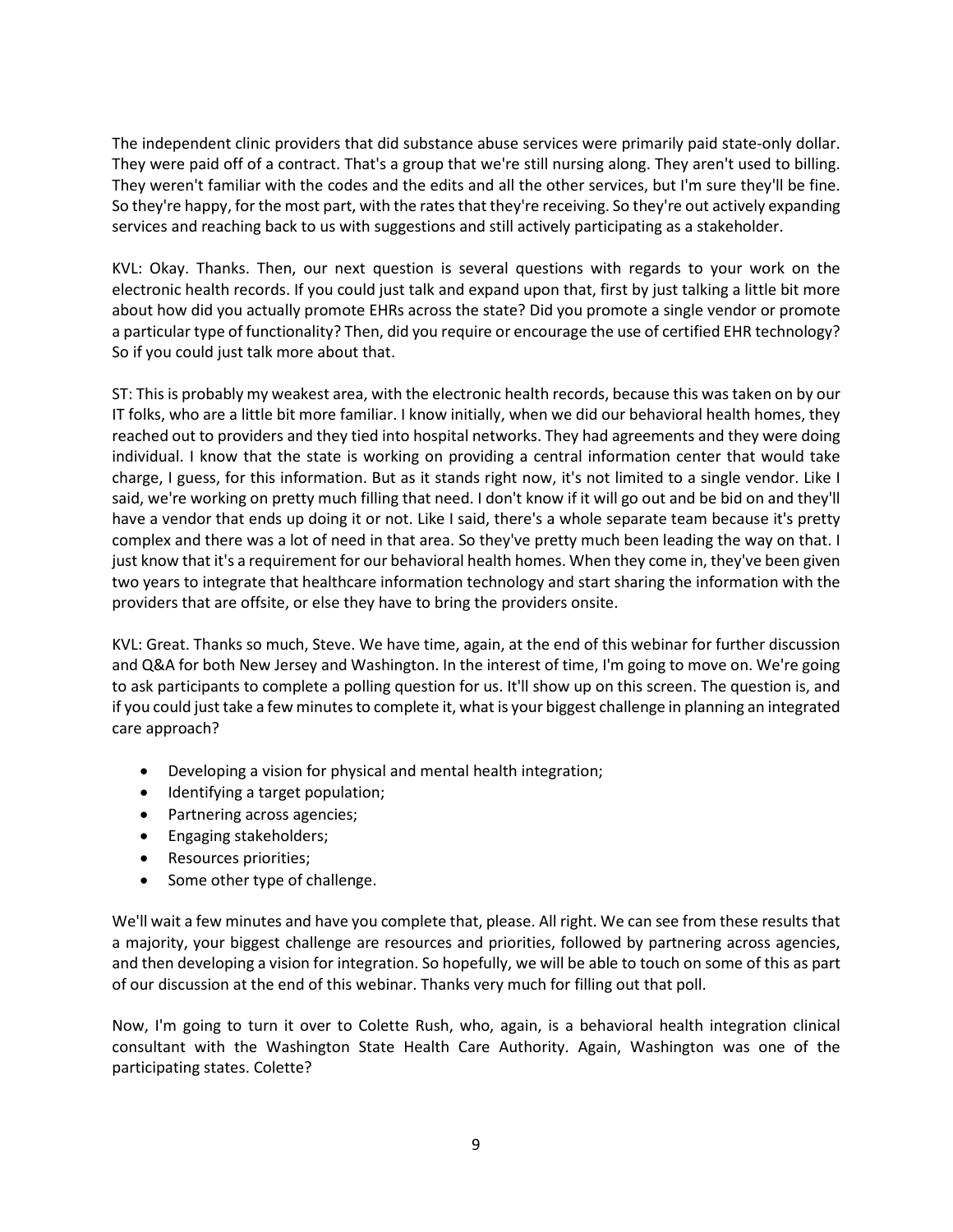The independent clinic providers that did substance abuse services were primarily paid state-only dollar. They were paid off of a contract. That's a group that we're still nursing along. They aren't used to billing. They weren't familiar with the codes and the edits and all the other services, but I'm sure they'll be fine. So they're happy, for the most part, with the rates that they're receiving. So they're out actively expanding services and reaching back to us with suggestions and still actively participating as a stakeholder.

KVL: Okay. Thanks. Then, our next question is several questions with regards to your work on the electronic health records. If you could just talk and expand upon that, first by just talking a little bit more about how did you actually promote EHRs across the state? Did you promote a single vendor or promote a particular type of functionality? Then, did you require or encourage the use of certified EHR technology? So if you could just talk more about that.

ST: This is probably my weakest area, with the electronic health records, because this was taken on by our IT folks, who are a little bit more familiar. I know initially, when we did our behavioral health homes, they reached out to providers and they tied into hospital networks. They had agreements and they were doing individual. I know that the state is working on providing a central information center that would take charge, I guess, for this information. But as it stands right now, it's not limited to a single vendor. Like I said, we're working on pretty much filling that need. I don't know if it will go out and be bid on and they'll have a vendor that ends up doing it or not. Like I said, there's a whole separate team because it's pretty complex and there was a lot of need in that area. So they've pretty much been leading the way on that. I just know that it's a requirement for our behavioral health homes. When they come in, they've been given two years to integrate that healthcare information technology and start sharing the information with the providers that are offsite, or else they have to bring the providers onsite.

KVL: Great. Thanks so much, Steve. We have time, again, at the end of this webinar for further discussion and Q&A for both New Jersey and Washington. In the interest of time, I'm going to move on. We're going to ask participants to complete a polling question for us. It'll show up on this screen. The question is, and if you could just take a few minutes to complete it, what is your biggest challenge in planning an integrated care approach?

- Developing a vision for physical and mental health integration;
- Identifying a target population;
- Partnering across agencies;
- Engaging stakeholders;
- Resources priorities;
- Some other type of challenge.

We'll wait a few minutes and have you complete that, please. All right. We can see from these results that a majority, your biggest challenge are resources and priorities, followed by partnering across agencies, and then developing a vision for integration. So hopefully, we will be able to touch on some of this as part of our discussion at the end of this webinar. Thanks very much for filling out that poll.

Now, I'm going to turn it over to Colette Rush, who, again, is a behavioral health integration clinical consultant with the Washington State Health Care Authority. Again, Washington was one of the participating states. Colette?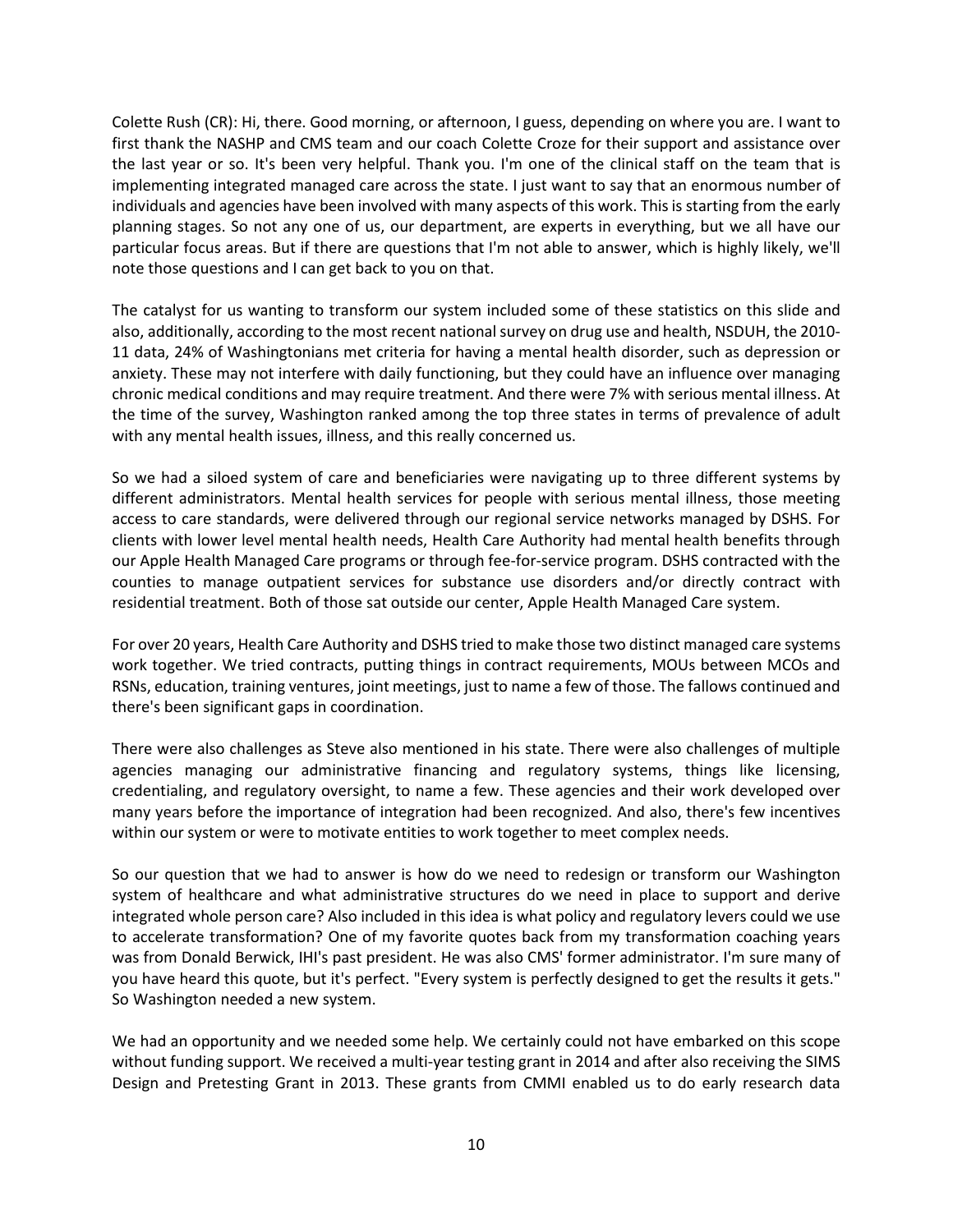Colette Rush (CR): Hi, there. Good morning, or afternoon, I guess, depending on where you are. I want to first thank the NASHP and CMS team and our coach Colette Croze for their support and assistance over the last year or so. It's been very helpful. Thank you. I'm one of the clinical staff on the team that is implementing integrated managed care across the state. I just want to say that an enormous number of individuals and agencies have been involved with many aspects of this work. This is starting from the early planning stages. So not any one of us, our department, are experts in everything, but we all have our particular focus areas. But if there are questions that I'm not able to answer, which is highly likely, we'll note those questions and I can get back to you on that.

The catalyst for us wanting to transform our system included some of these statistics on this slide and also, additionally, according to the most recent national survey on drug use and health, NSDUH, the 2010- 11 data, 24% of Washingtonians met criteria for having a mental health disorder, such as depression or anxiety. These may not interfere with daily functioning, but they could have an influence over managing chronic medical conditions and may require treatment. And there were 7% with serious mental illness. At the time of the survey, Washington ranked among the top three states in terms of prevalence of adult with any mental health issues, illness, and this really concerned us.

So we had a siloed system of care and beneficiaries were navigating up to three different systems by different administrators. Mental health services for people with serious mental illness, those meeting access to care standards, were delivered through our regional service networks managed by DSHS. For clients with lower level mental health needs, Health Care Authority had mental health benefits through our Apple Health Managed Care programs or through fee-for-service program. DSHS contracted with the counties to manage outpatient services for substance use disorders and/or directly contract with residential treatment. Both of those sat outside our center, Apple Health Managed Care system.

For over 20 years, Health Care Authority and DSHS tried to make those two distinct managed care systems work together. We tried contracts, putting things in contract requirements, MOUs between MCOs and RSNs, education, training ventures, joint meetings, just to name a few of those. The fallows continued and there's been significant gaps in coordination.

There were also challenges as Steve also mentioned in his state. There were also challenges of multiple agencies managing our administrative financing and regulatory systems, things like licensing, credentialing, and regulatory oversight, to name a few. These agencies and their work developed over many years before the importance of integration had been recognized. And also, there's few incentives within our system or were to motivate entities to work together to meet complex needs.

So our question that we had to answer is how do we need to redesign or transform our Washington system of healthcare and what administrative structures do we need in place to support and derive integrated whole person care? Also included in this idea is what policy and regulatory levers could we use to accelerate transformation? One of my favorite quotes back from my transformation coaching years was from Donald Berwick, IHI's past president. He was also CMS' former administrator. I'm sure many of you have heard this quote, but it's perfect. "Every system is perfectly designed to get the results it gets." So Washington needed a new system.

We had an opportunity and we needed some help. We certainly could not have embarked on this scope without funding support. We received a multi-year testing grant in 2014 and after also receiving the SIMS Design and Pretesting Grant in 2013. These grants from CMMI enabled us to do early research data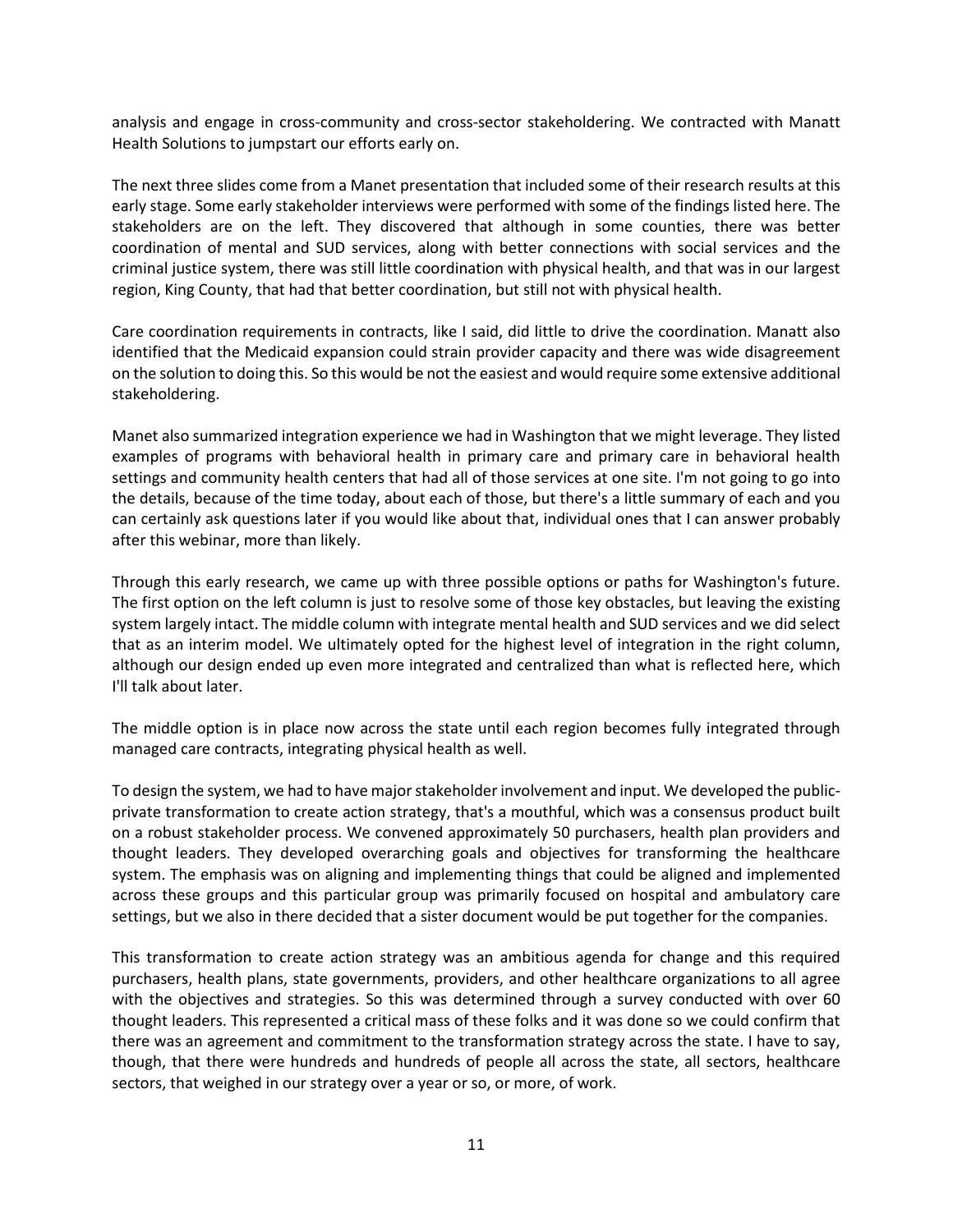analysis and engage in cross-community and cross-sector stakeholdering. We contracted with Manatt Health Solutions to jumpstart our efforts early on.

The next three slides come from a Manet presentation that included some of their research results at this early stage. Some early stakeholder interviews were performed with some of the findings listed here. The stakeholders are on the left. They discovered that although in some counties, there was better coordination of mental and SUD services, along with better connections with social services and the criminal justice system, there was still little coordination with physical health, and that was in our largest region, King County, that had that better coordination, but still not with physical health.

Care coordination requirements in contracts, like I said, did little to drive the coordination. Manatt also identified that the Medicaid expansion could strain provider capacity and there was wide disagreement on the solution to doing this. So this would be not the easiest and would require some extensive additional stakeholdering.

Manet also summarized integration experience we had in Washington that we might leverage. They listed examples of programs with behavioral health in primary care and primary care in behavioral health settings and community health centers that had all of those services at one site. I'm not going to go into the details, because of the time today, about each of those, but there's a little summary of each and you can certainly ask questions later if you would like about that, individual ones that I can answer probably after this webinar, more than likely.

Through this early research, we came up with three possible options or paths for Washington's future. The first option on the left column is just to resolve some of those key obstacles, but leaving the existing system largely intact. The middle column with integrate mental health and SUD services and we did select that as an interim model. We ultimately opted for the highest level of integration in the right column, although our design ended up even more integrated and centralized than what is reflected here, which I'll talk about later.

The middle option is in place now across the state until each region becomes fully integrated through managed care contracts, integrating physical health as well.

To design the system, we had to have major stakeholder involvement and input. We developed the publicprivate transformation to create action strategy, that's a mouthful, which was a consensus product built on a robust stakeholder process. We convened approximately 50 purchasers, health plan providers and thought leaders. They developed overarching goals and objectives for transforming the healthcare system. The emphasis was on aligning and implementing things that could be aligned and implemented across these groups and this particular group was primarily focused on hospital and ambulatory care settings, but we also in there decided that a sister document would be put together for the companies.

This transformation to create action strategy was an ambitious agenda for change and this required purchasers, health plans, state governments, providers, and other healthcare organizations to all agree with the objectives and strategies. So this was determined through a survey conducted with over 60 thought leaders. This represented a critical mass of these folks and it was done so we could confirm that there was an agreement and commitment to the transformation strategy across the state. I have to say, though, that there were hundreds and hundreds of people all across the state, all sectors, healthcare sectors, that weighed in our strategy over a year or so, or more, of work.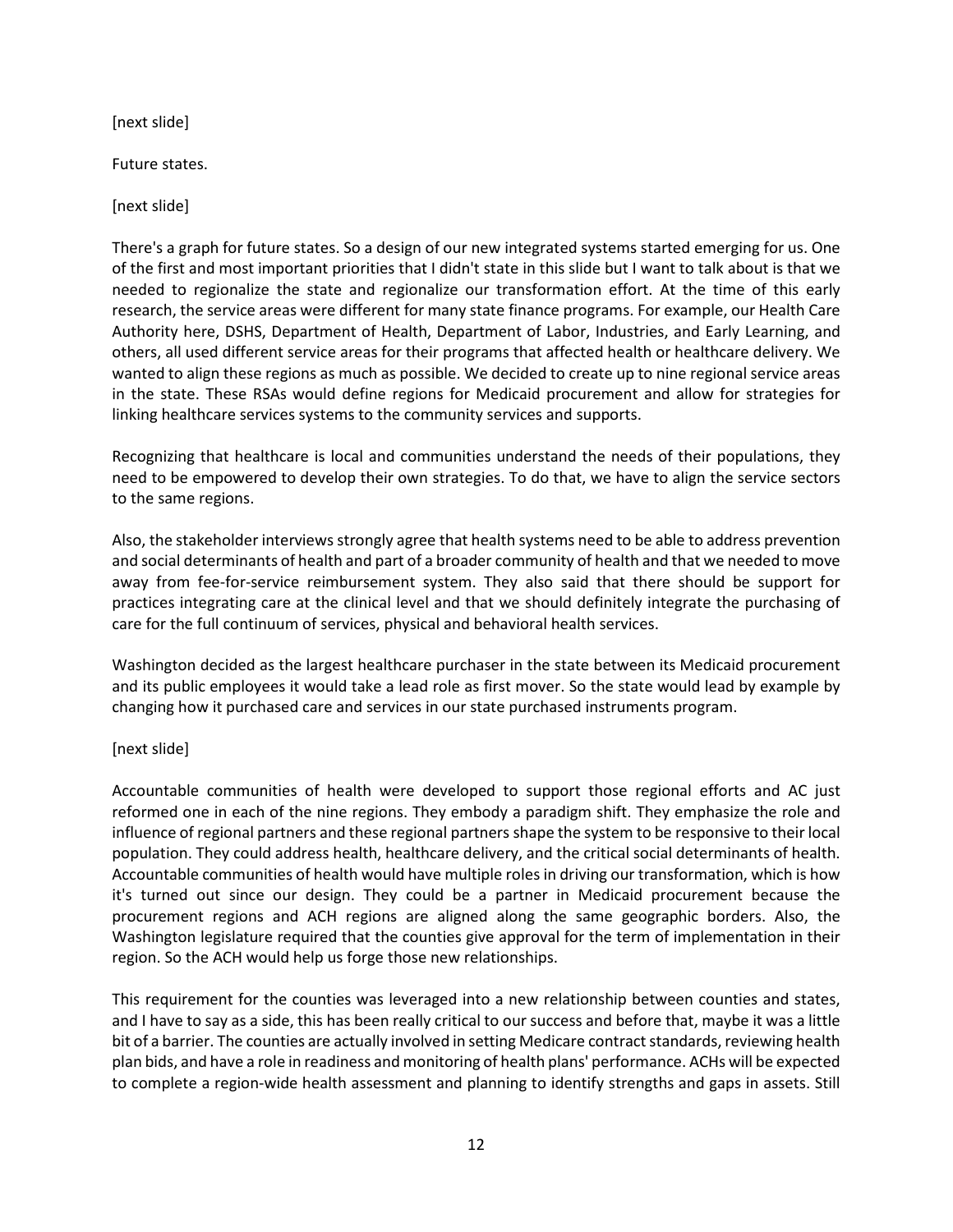[next slide]

Future states.

[next slide]

There's a graph for future states. So a design of our new integrated systems started emerging for us. One of the first and most important priorities that I didn't state in this slide but I want to talk about is that we needed to regionalize the state and regionalize our transformation effort. At the time of this early research, the service areas were different for many state finance programs. For example, our Health Care Authority here, DSHS, Department of Health, Department of Labor, Industries, and Early Learning, and others, all used different service areas for their programs that affected health or healthcare delivery. We wanted to align these regions as much as possible. We decided to create up to nine regional service areas in the state. These RSAs would define regions for Medicaid procurement and allow for strategies for linking healthcare services systems to the community services and supports.

Recognizing that healthcare is local and communities understand the needs of their populations, they need to be empowered to develop their own strategies. To do that, we have to align the service sectors to the same regions.

Also, the stakeholder interviews strongly agree that health systems need to be able to address prevention and social determinants of health and part of a broader community of health and that we needed to move away from fee-for-service reimbursement system. They also said that there should be support for practices integrating care at the clinical level and that we should definitely integrate the purchasing of care for the full continuum of services, physical and behavioral health services.

Washington decided as the largest healthcare purchaser in the state between its Medicaid procurement and its public employees it would take a lead role as first mover. So the state would lead by example by changing how it purchased care and services in our state purchased instruments program.

### [next slide]

Accountable communities of health were developed to support those regional efforts and AC just reformed one in each of the nine regions. They embody a paradigm shift. They emphasize the role and influence of regional partners and these regional partners shape the system to be responsive to their local population. They could address health, healthcare delivery, and the critical social determinants of health. Accountable communities of health would have multiple roles in driving our transformation, which is how it's turned out since our design. They could be a partner in Medicaid procurement because the procurement regions and ACH regions are aligned along the same geographic borders. Also, the Washington legislature required that the counties give approval for the term of implementation in their region. So the ACH would help us forge those new relationships.

This requirement for the counties was leveraged into a new relationship between counties and states, and I have to say as a side, this has been really critical to our success and before that, maybe it was a little bit of a barrier. The counties are actually involved in setting Medicare contract standards, reviewing health plan bids, and have a role in readiness and monitoring of health plans' performance. ACHs will be expected to complete a region-wide health assessment and planning to identify strengths and gaps in assets. Still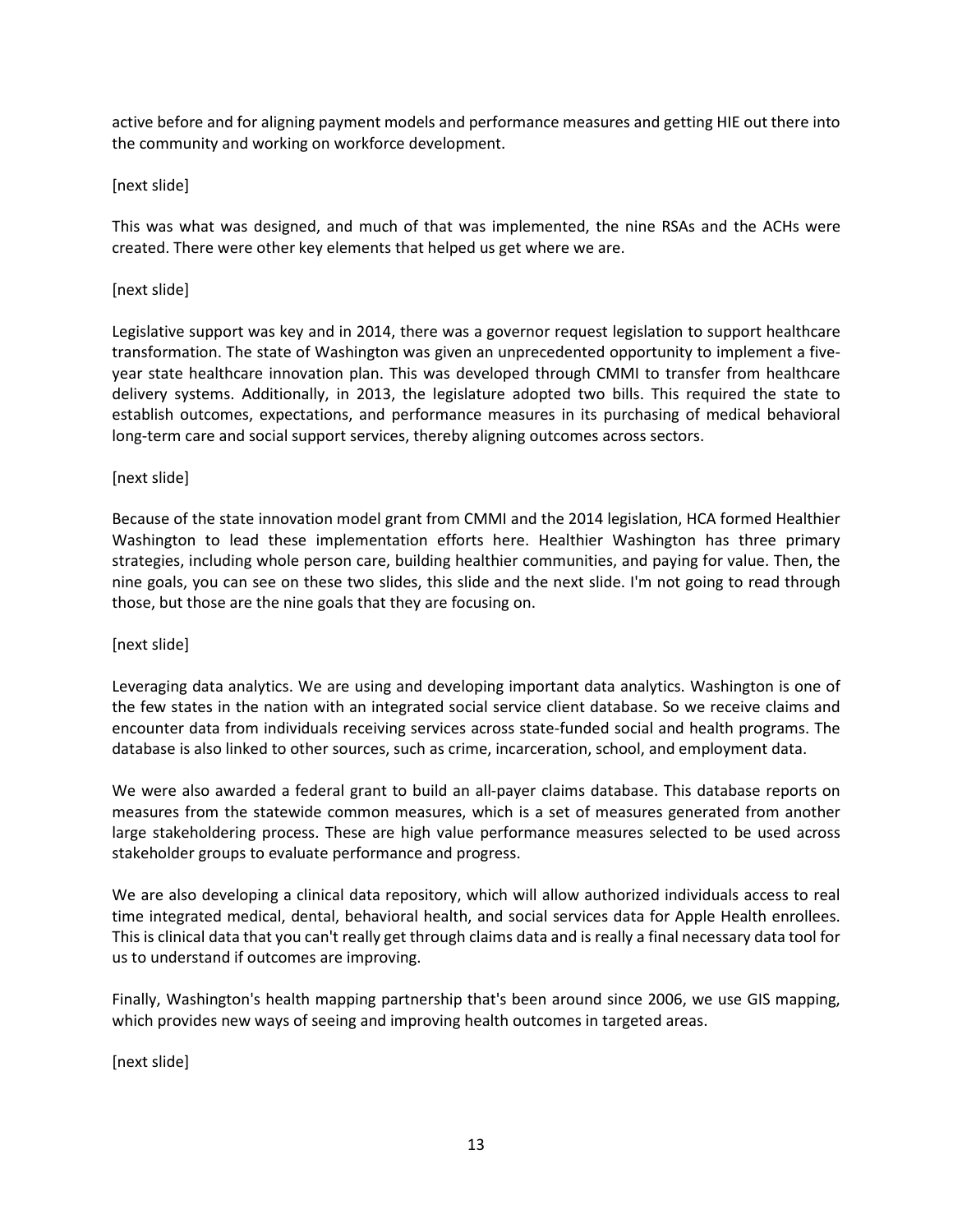active before and for aligning payment models and performance measures and getting HIE out there into the community and working on workforce development.

## [next slide]

This was what was designed, and much of that was implemented, the nine RSAs and the ACHs were created. There were other key elements that helped us get where we are.

### [next slide]

Legislative support was key and in 2014, there was a governor request legislation to support healthcare transformation. The state of Washington was given an unprecedented opportunity to implement a fiveyear state healthcare innovation plan. This was developed through CMMI to transfer from healthcare delivery systems. Additionally, in 2013, the legislature adopted two bills. This required the state to establish outcomes, expectations, and performance measures in its purchasing of medical behavioral long-term care and social support services, thereby aligning outcomes across sectors.

## [next slide]

Because of the state innovation model grant from CMMI and the 2014 legislation, HCA formed Healthier Washington to lead these implementation efforts here. Healthier Washington has three primary strategies, including whole person care, building healthier communities, and paying for value. Then, the nine goals, you can see on these two slides, this slide and the next slide. I'm not going to read through those, but those are the nine goals that they are focusing on.

### [next slide]

Leveraging data analytics. We are using and developing important data analytics. Washington is one of the few states in the nation with an integrated social service client database. So we receive claims and encounter data from individuals receiving services across state-funded social and health programs. The database is also linked to other sources, such as crime, incarceration, school, and employment data.

We were also awarded a federal grant to build an all-payer claims database. This database reports on measures from the statewide common measures, which is a set of measures generated from another large stakeholdering process. These are high value performance measures selected to be used across stakeholder groups to evaluate performance and progress.

We are also developing a clinical data repository, which will allow authorized individuals access to real time integrated medical, dental, behavioral health, and social services data for Apple Health enrollees. This is clinical data that you can't really get through claims data and is really a final necessary data tool for us to understand if outcomes are improving.

Finally, Washington's health mapping partnership that's been around since 2006, we use GIS mapping, which provides new ways of seeing and improving health outcomes in targeted areas.

[next slide]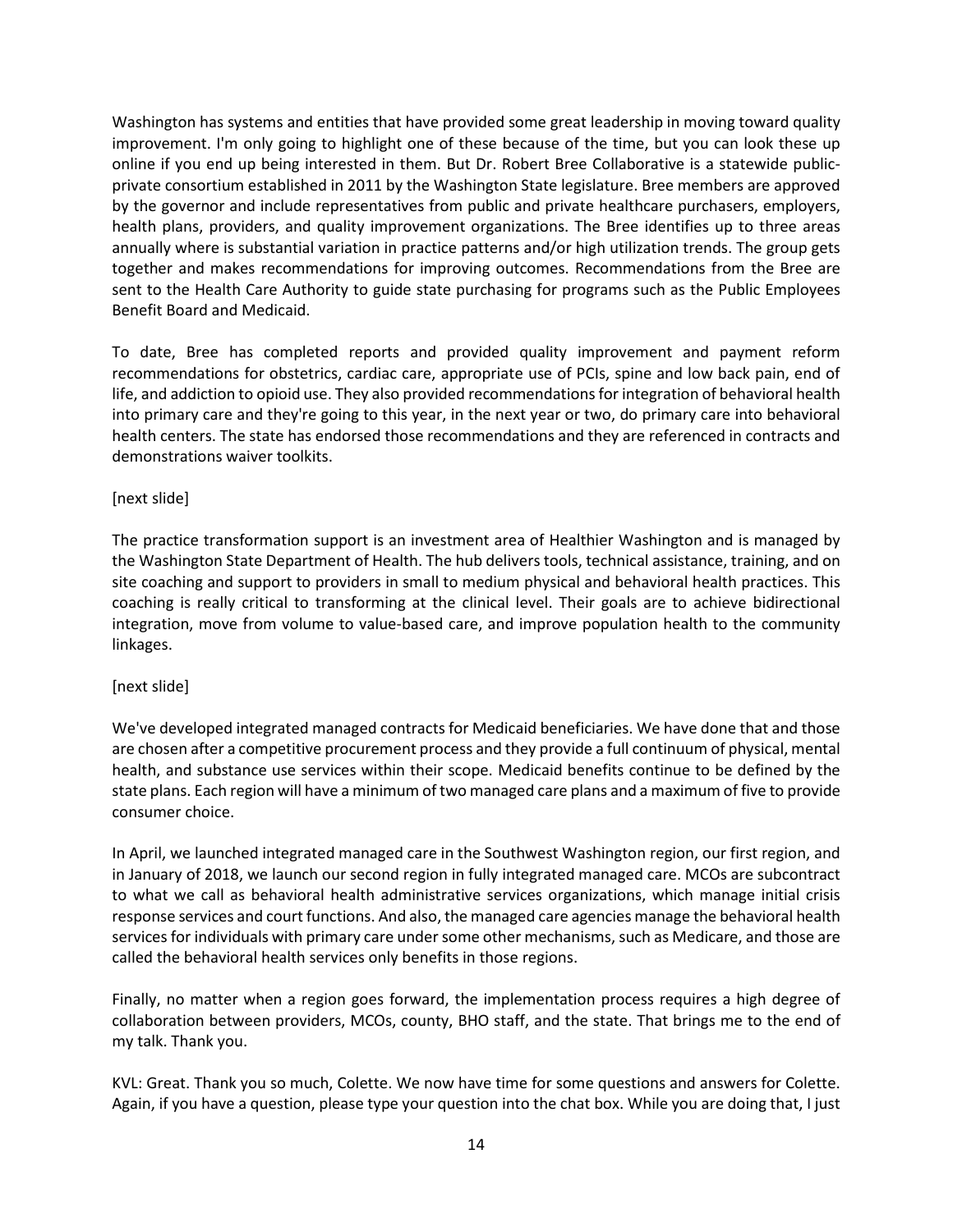Washington has systems and entities that have provided some great leadership in moving toward quality improvement. I'm only going to highlight one of these because of the time, but you can look these up online if you end up being interested in them. But Dr. Robert Bree Collaborative is a statewide publicprivate consortium established in 2011 by the Washington State legislature. Bree members are approved by the governor and include representatives from public and private healthcare purchasers, employers, health plans, providers, and quality improvement organizations. The Bree identifies up to three areas annually where is substantial variation in practice patterns and/or high utilization trends. The group gets together and makes recommendations for improving outcomes. Recommendations from the Bree are sent to the Health Care Authority to guide state purchasing for programs such as the Public Employees Benefit Board and Medicaid.

To date, Bree has completed reports and provided quality improvement and payment reform recommendations for obstetrics, cardiac care, appropriate use of PCIs, spine and low back pain, end of life, and addiction to opioid use. They also provided recommendations for integration of behavioral health into primary care and they're going to this year, in the next year or two, do primary care into behavioral health centers. The state has endorsed those recommendations and they are referenced in contracts and demonstrations waiver toolkits.

### [next slide]

The practice transformation support is an investment area of Healthier Washington and is managed by the Washington State Department of Health. The hub delivers tools, technical assistance, training, and on site coaching and support to providers in small to medium physical and behavioral health practices. This coaching is really critical to transforming at the clinical level. Their goals are to achieve bidirectional integration, move from volume to value-based care, and improve population health to the community linkages.

### [next slide]

We've developed integrated managed contracts for Medicaid beneficiaries. We have done that and those are chosen after a competitive procurement process and they provide a full continuum of physical, mental health, and substance use services within their scope. Medicaid benefits continue to be defined by the state plans. Each region will have a minimum of two managed care plans and a maximum of five to provide consumer choice.

In April, we launched integrated managed care in the Southwest Washington region, our first region, and in January of 2018, we launch our second region in fully integrated managed care. MCOs are subcontract to what we call as behavioral health administrative services organizations, which manage initial crisis response services and court functions. And also, the managed care agencies manage the behavioral health services for individuals with primary care under some other mechanisms, such as Medicare, and those are called the behavioral health services only benefits in those regions.

Finally, no matter when a region goes forward, the implementation process requires a high degree of collaboration between providers, MCOs, county, BHO staff, and the state. That brings me to the end of my talk. Thank you.

KVL: Great. Thank you so much, Colette. We now have time for some questions and answers for Colette. Again, if you have a question, please type your question into the chat box. While you are doing that, I just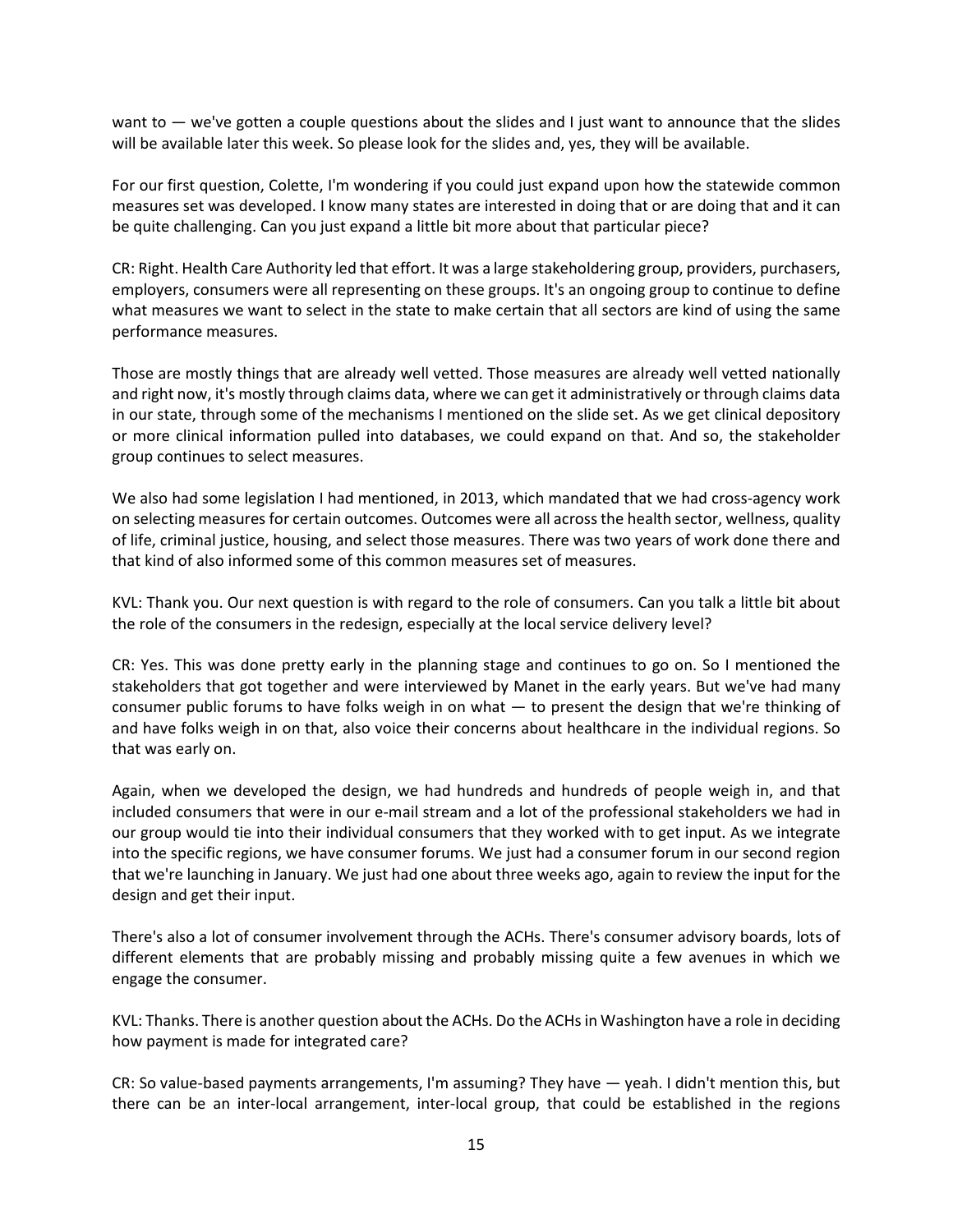want to — we've gotten a couple questions about the slides and I just want to announce that the slides will be available later this week. So please look for the slides and, yes, they will be available.

For our first question, Colette, I'm wondering if you could just expand upon how the statewide common measures set was developed. I know many states are interested in doing that or are doing that and it can be quite challenging. Can you just expand a little bit more about that particular piece?

CR: Right. Health Care Authority led that effort. It was a large stakeholdering group, providers, purchasers, employers, consumers were all representing on these groups. It's an ongoing group to continue to define what measures we want to select in the state to make certain that all sectors are kind of using the same performance measures.

Those are mostly things that are already well vetted. Those measures are already well vetted nationally and right now, it's mostly through claims data, where we can get it administratively or through claims data in our state, through some of the mechanisms I mentioned on the slide set. As we get clinical depository or more clinical information pulled into databases, we could expand on that. And so, the stakeholder group continues to select measures.

We also had some legislation I had mentioned, in 2013, which mandated that we had cross-agency work on selecting measures for certain outcomes. Outcomes were all across the health sector, wellness, quality of life, criminal justice, housing, and select those measures. There was two years of work done there and that kind of also informed some of this common measures set of measures.

KVL: Thank you. Our next question is with regard to the role of consumers. Can you talk a little bit about the role of the consumers in the redesign, especially at the local service delivery level?

CR: Yes. This was done pretty early in the planning stage and continues to go on. So I mentioned the stakeholders that got together and were interviewed by Manet in the early years. But we've had many consumer public forums to have folks weigh in on what — to present the design that we're thinking of and have folks weigh in on that, also voice their concerns about healthcare in the individual regions. So that was early on.

Again, when we developed the design, we had hundreds and hundreds of people weigh in, and that included consumers that were in our e-mail stream and a lot of the professional stakeholders we had in our group would tie into their individual consumers that they worked with to get input. As we integrate into the specific regions, we have consumer forums. We just had a consumer forum in our second region that we're launching in January. We just had one about three weeks ago, again to review the input for the design and get their input.

There's also a lot of consumer involvement through the ACHs. There's consumer advisory boards, lots of different elements that are probably missing and probably missing quite a few avenues in which we engage the consumer.

KVL: Thanks. There is another question about the ACHs. Do the ACHs in Washington have a role in deciding how payment is made for integrated care?

CR: So value-based payments arrangements, I'm assuming? They have — yeah. I didn't mention this, but there can be an inter-local arrangement, inter-local group, that could be established in the regions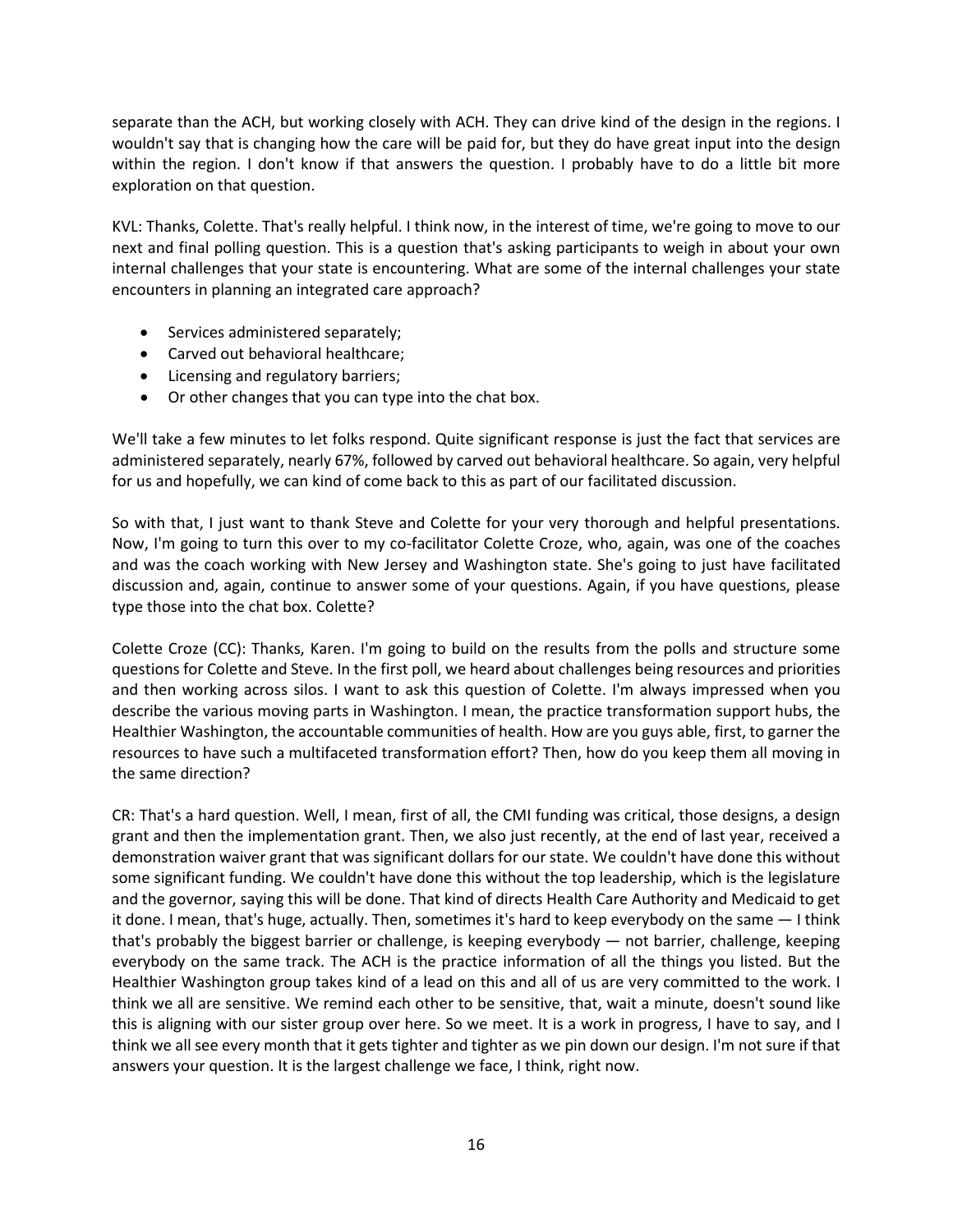separate than the ACH, but working closely with ACH. They can drive kind of the design in the regions. I wouldn't say that is changing how the care will be paid for, but they do have great input into the design within the region. I don't know if that answers the question. I probably have to do a little bit more exploration on that question.

KVL: Thanks, Colette. That's really helpful. I think now, in the interest of time, we're going to move to our next and final polling question. This is a question that's asking participants to weigh in about your own internal challenges that your state is encountering. What are some of the internal challenges your state encounters in planning an integrated care approach?

- Services administered separately;
- Carved out behavioral healthcare;
- Licensing and regulatory barriers;
- Or other changes that you can type into the chat box.

We'll take a few minutes to let folks respond. Quite significant response is just the fact that services are administered separately, nearly 67%, followed by carved out behavioral healthcare. So again, very helpful for us and hopefully, we can kind of come back to this as part of our facilitated discussion.

So with that, I just want to thank Steve and Colette for your very thorough and helpful presentations. Now, I'm going to turn this over to my co-facilitator Colette Croze, who, again, was one of the coaches and was the coach working with New Jersey and Washington state. She's going to just have facilitated discussion and, again, continue to answer some of your questions. Again, if you have questions, please type those into the chat box. Colette?

Colette Croze (CC): Thanks, Karen. I'm going to build on the results from the polls and structure some questions for Colette and Steve. In the first poll, we heard about challenges being resources and priorities and then working across silos. I want to ask this question of Colette. I'm always impressed when you describe the various moving parts in Washington. I mean, the practice transformation support hubs, the Healthier Washington, the accountable communities of health. How are you guys able, first, to garner the resources to have such a multifaceted transformation effort? Then, how do you keep them all moving in the same direction?

CR: That's a hard question. Well, I mean, first of all, the CMI funding was critical, those designs, a design grant and then the implementation grant. Then, we also just recently, at the end of last year, received a demonstration waiver grant that was significant dollars for our state. We couldn't have done this without some significant funding. We couldn't have done this without the top leadership, which is the legislature and the governor, saying this will be done. That kind of directs Health Care Authority and Medicaid to get it done. I mean, that's huge, actually. Then, sometimes it's hard to keep everybody on the same — I think that's probably the biggest barrier or challenge, is keeping everybody — not barrier, challenge, keeping everybody on the same track. The ACH is the practice information of all the things you listed. But the Healthier Washington group takes kind of a lead on this and all of us are very committed to the work. I think we all are sensitive. We remind each other to be sensitive, that, wait a minute, doesn't sound like this is aligning with our sister group over here. So we meet. It is a work in progress, I have to say, and I think we all see every month that it gets tighter and tighter as we pin down our design. I'm not sure if that answers your question. It is the largest challenge we face, I think, right now.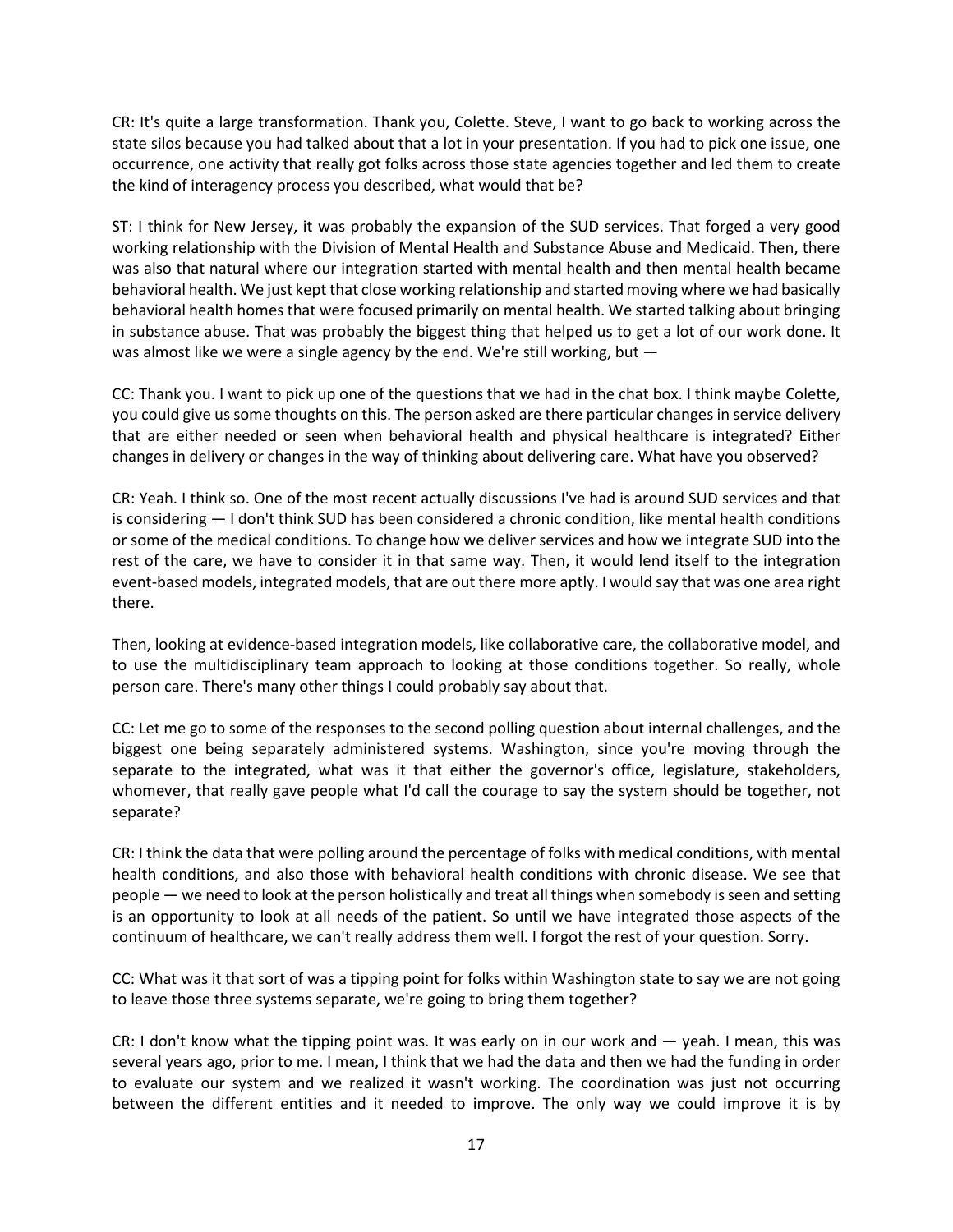CR: It's quite a large transformation. Thank you, Colette. Steve, I want to go back to working across the state silos because you had talked about that a lot in your presentation. If you had to pick one issue, one occurrence, one activity that really got folks across those state agencies together and led them to create the kind of interagency process you described, what would that be?

ST: I think for New Jersey, it was probably the expansion of the SUD services. That forged a very good working relationship with the Division of Mental Health and Substance Abuse and Medicaid. Then, there was also that natural where our integration started with mental health and then mental health became behavioral health. We just kept that close working relationship and started moving where we had basically behavioral health homes that were focused primarily on mental health. We started talking about bringing in substance abuse. That was probably the biggest thing that helped us to get a lot of our work done. It was almost like we were a single agency by the end. We're still working, but —

CC: Thank you. I want to pick up one of the questions that we had in the chat box. I think maybe Colette, you could give us some thoughts on this. The person asked are there particular changes in service delivery that are either needed or seen when behavioral health and physical healthcare is integrated? Either changes in delivery or changes in the way of thinking about delivering care. What have you observed?

CR: Yeah. I think so. One of the most recent actually discussions I've had is around SUD services and that is considering — I don't think SUD has been considered a chronic condition, like mental health conditions or some of the medical conditions. To change how we deliver services and how we integrate SUD into the rest of the care, we have to consider it in that same way. Then, it would lend itself to the integration event-based models, integrated models, that are out there more aptly. I would say that was one area right there.

Then, looking at evidence-based integration models, like collaborative care, the collaborative model, and to use the multidisciplinary team approach to looking at those conditions together. So really, whole person care. There's many other things I could probably say about that.

CC: Let me go to some of the responses to the second polling question about internal challenges, and the biggest one being separately administered systems. Washington, since you're moving through the separate to the integrated, what was it that either the governor's office, legislature, stakeholders, whomever, that really gave people what I'd call the courage to say the system should be together, not separate?

CR: I think the data that were polling around the percentage of folks with medical conditions, with mental health conditions, and also those with behavioral health conditions with chronic disease. We see that people — we need to look at the person holistically and treat all things when somebody is seen and setting is an opportunity to look at all needs of the patient. So until we have integrated those aspects of the continuum of healthcare, we can't really address them well. I forgot the rest of your question. Sorry.

CC: What was it that sort of was a tipping point for folks within Washington state to say we are not going to leave those three systems separate, we're going to bring them together?

CR: I don't know what the tipping point was. It was early on in our work and — yeah. I mean, this was several years ago, prior to me. I mean, I think that we had the data and then we had the funding in order to evaluate our system and we realized it wasn't working. The coordination was just not occurring between the different entities and it needed to improve. The only way we could improve it is by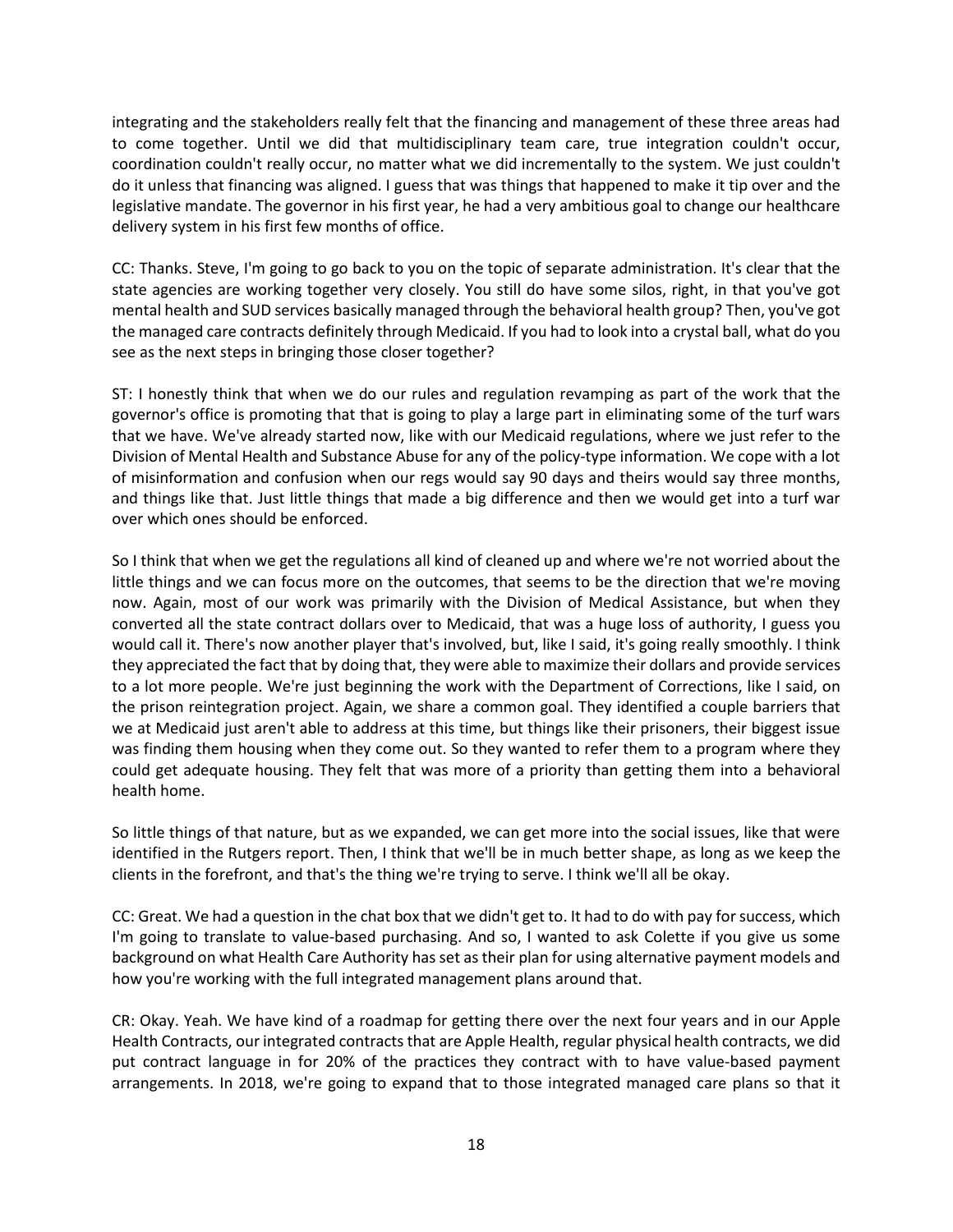integrating and the stakeholders really felt that the financing and management of these three areas had to come together. Until we did that multidisciplinary team care, true integration couldn't occur, coordination couldn't really occur, no matter what we did incrementally to the system. We just couldn't do it unless that financing was aligned. I guess that was things that happened to make it tip over and the legislative mandate. The governor in his first year, he had a very ambitious goal to change our healthcare delivery system in his first few months of office.

CC: Thanks. Steve, I'm going to go back to you on the topic of separate administration. It's clear that the state agencies are working together very closely. You still do have some silos, right, in that you've got mental health and SUD services basically managed through the behavioral health group? Then, you've got the managed care contracts definitely through Medicaid. If you had to look into a crystal ball, what do you see as the next steps in bringing those closer together?

ST: I honestly think that when we do our rules and regulation revamping as part of the work that the governor's office is promoting that that is going to play a large part in eliminating some of the turf wars that we have. We've already started now, like with our Medicaid regulations, where we just refer to the Division of Mental Health and Substance Abuse for any of the policy-type information. We cope with a lot of misinformation and confusion when our regs would say 90 days and theirs would say three months, and things like that. Just little things that made a big difference and then we would get into a turf war over which ones should be enforced.

So I think that when we get the regulations all kind of cleaned up and where we're not worried about the little things and we can focus more on the outcomes, that seems to be the direction that we're moving now. Again, most of our work was primarily with the Division of Medical Assistance, but when they converted all the state contract dollars over to Medicaid, that was a huge loss of authority, I guess you would call it. There's now another player that's involved, but, like I said, it's going really smoothly. I think they appreciated the fact that by doing that, they were able to maximize their dollars and provide services to a lot more people. We're just beginning the work with the Department of Corrections, like I said, on the prison reintegration project. Again, we share a common goal. They identified a couple barriers that we at Medicaid just aren't able to address at this time, but things like their prisoners, their biggest issue was finding them housing when they come out. So they wanted to refer them to a program where they could get adequate housing. They felt that was more of a priority than getting them into a behavioral health home.

So little things of that nature, but as we expanded, we can get more into the social issues, like that were identified in the Rutgers report. Then, I think that we'll be in much better shape, as long as we keep the clients in the forefront, and that's the thing we're trying to serve. I think we'll all be okay.

CC: Great. We had a question in the chat box that we didn't get to. It had to do with pay for success, which I'm going to translate to value-based purchasing. And so, I wanted to ask Colette if you give us some background on what Health Care Authority has set as their plan for using alternative payment models and how you're working with the full integrated management plans around that.

CR: Okay. Yeah. We have kind of a roadmap for getting there over the next four years and in our Apple Health Contracts, our integrated contracts that are Apple Health, regular physical health contracts, we did put contract language in for 20% of the practices they contract with to have value-based payment arrangements. In 2018, we're going to expand that to those integrated managed care plans so that it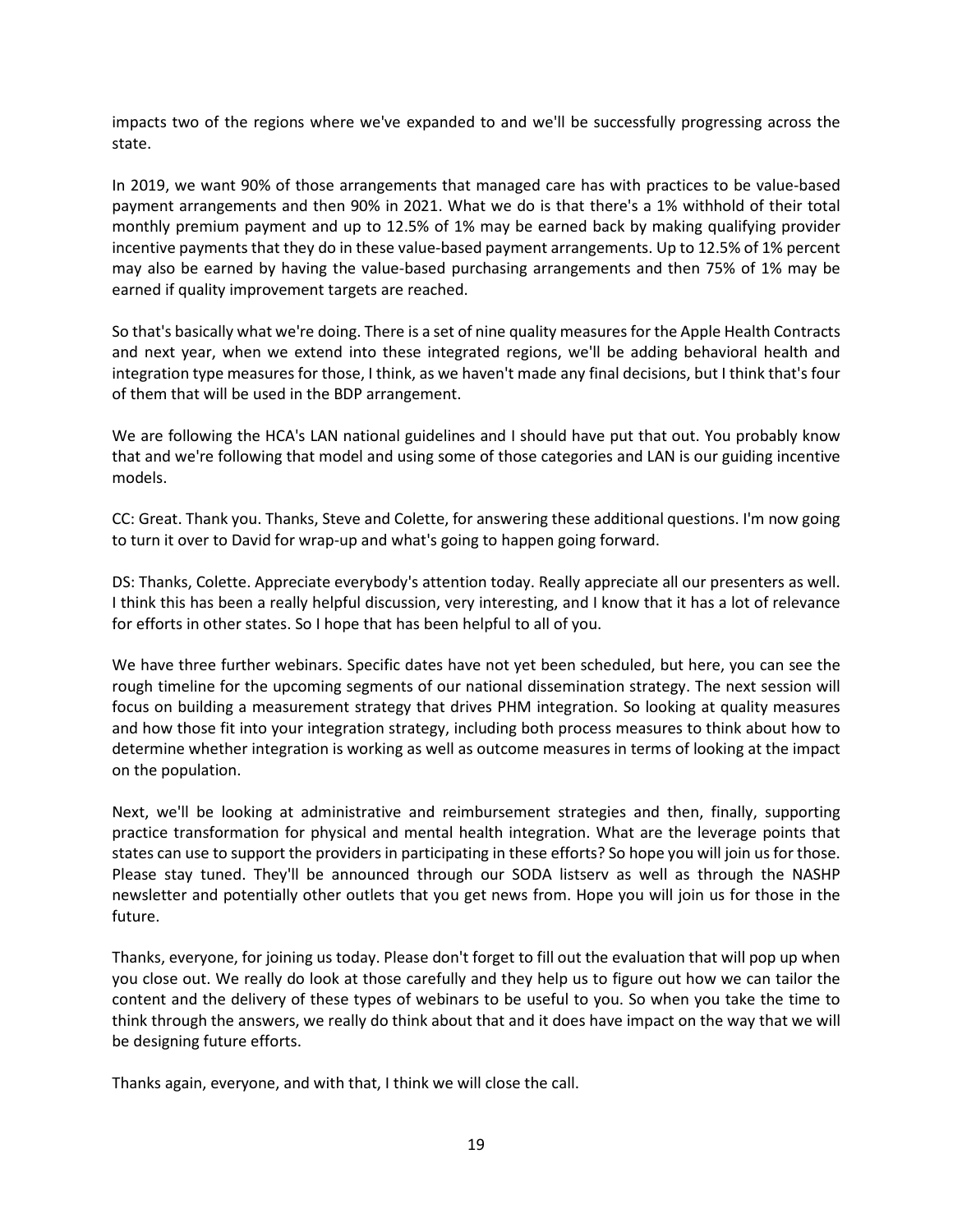impacts two of the regions where we've expanded to and we'll be successfully progressing across the state.

In 2019, we want 90% of those arrangements that managed care has with practices to be value-based payment arrangements and then 90% in 2021. What we do is that there's a 1% withhold of their total monthly premium payment and up to 12.5% of 1% may be earned back by making qualifying provider incentive payments that they do in these value-based payment arrangements. Up to 12.5% of 1% percent may also be earned by having the value-based purchasing arrangements and then 75% of 1% may be earned if quality improvement targets are reached.

So that's basically what we're doing. There is a set of nine quality measures for the Apple Health Contracts and next year, when we extend into these integrated regions, we'll be adding behavioral health and integration type measures for those, I think, as we haven't made any final decisions, but I think that's four of them that will be used in the BDP arrangement.

We are following the HCA's LAN national guidelines and I should have put that out. You probably know that and we're following that model and using some of those categories and LAN is our guiding incentive models.

CC: Great. Thank you. Thanks, Steve and Colette, for answering these additional questions. I'm now going to turn it over to David for wrap-up and what's going to happen going forward.

DS: Thanks, Colette. Appreciate everybody's attention today. Really appreciate all our presenters as well. I think this has been a really helpful discussion, very interesting, and I know that it has a lot of relevance for efforts in other states. So I hope that has been helpful to all of you.

We have three further webinars. Specific dates have not yet been scheduled, but here, you can see the rough timeline for the upcoming segments of our national dissemination strategy. The next session will focus on building a measurement strategy that drives PHM integration. So looking at quality measures and how those fit into your integration strategy, including both process measures to think about how to determine whether integration is working as well as outcome measures in terms of looking at the impact on the population.

Next, we'll be looking at administrative and reimbursement strategies and then, finally, supporting practice transformation for physical and mental health integration. What are the leverage points that states can use to support the providers in participating in these efforts? So hope you will join us for those. Please stay tuned. They'll be announced through our SODA listserv as well as through the NASHP newsletter and potentially other outlets that you get news from. Hope you will join us for those in the future.

Thanks, everyone, for joining us today. Please don't forget to fill out the evaluation that will pop up when you close out. We really do look at those carefully and they help us to figure out how we can tailor the content and the delivery of these types of webinars to be useful to you. So when you take the time to think through the answers, we really do think about that and it does have impact on the way that we will be designing future efforts.

Thanks again, everyone, and with that, I think we will close the call.